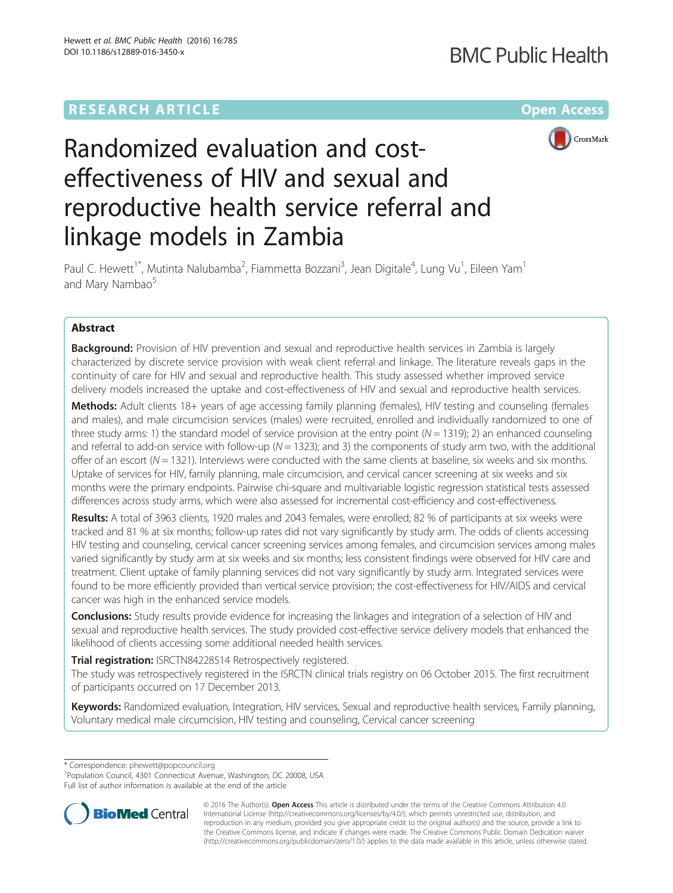# **RESEARCH ARTICLE Example 2014 12:30 The Company Access** (RESEARCH ARTICLE



# Randomized evaluation and costeffectiveness of HIV and sexual and reproductive health service referral and linkage models in Zambia

Paul C. Hewett<sup>1\*</sup>, Mutinta Nalubamba<sup>2</sup>, Fiammetta Bozzani<sup>3</sup>, Jean Digitale<sup>4</sup>, Lung Vu<sup>1</sup>, Eileen Yam<sup>1</sup> and Mary Nambao<sup>5</sup>

# Abstract

**Background:** Provision of HIV prevention and sexual and reproductive health services in Zambia is largely characterized by discrete service provision with weak client referral and linkage. The literature reveals gaps in the continuity of care for HIV and sexual and reproductive health. This study assessed whether improved service delivery models increased the uptake and cost-effectiveness of HIV and sexual and reproductive health services.

Methods: Adult clients 18+ years of age accessing family planning (females), HIV testing and counseling (females and males), and male circumcision services (males) were recruited, enrolled and individually randomized to one of three study arms: 1) the standard model of service provision at the entry point  $(N = 1319)$ ; 2) an enhanced counseling and referral to add-on service with follow-up ( $N = 1323$ ); and 3) the components of study arm two, with the additional offer of an escort ( $N = 1321$ ). Interviews were conducted with the same clients at baseline, six weeks and six months. Uptake of services for HIV, family planning, male circumcision, and cervical cancer screening at six weeks and six months were the primary endpoints. Pairwise chi-square and multivariable logistic regression statistical tests assessed differences across study arms, which were also assessed for incremental cost-efficiency and cost-effectiveness.

Results: A total of 3963 clients, 1920 males and 2043 females, were enrolled; 82 % of participants at six weeks were tracked and 81 % at six months; follow-up rates did not vary significantly by study arm. The odds of clients accessing HIV testing and counseling, cervical cancer screening services among females, and circumcision services among males varied significantly by study arm at six weeks and six months; less consistent findings were observed for HIV care and treatment. Client uptake of family planning services did not vary significantly by study arm. Integrated services were found to be more efficiently provided than vertical service provision; the cost-effectiveness for HIV/AIDS and cervical cancer was high in the enhanced service models.

Conclusions: Study results provide evidence for increasing the linkages and integration of a selection of HIV and sexual and reproductive health services. The study provided cost-effective service delivery models that enhanced the likelihood of clients accessing some additional needed health services.

Trial registration: [ISRCTN84228514](http://www.isrctn.com/ISRCTN84228514) Retrospectively registered.

The study was retrospectively registered in the ISRCTN clinical trials registry on 06 October 2015. The first recruitment of participants occurred on 17 December 2013.

Keywords: Randomized evaluation, Integration, HIV services, Sexual and reproductive health services, Family planning, Voluntary medical male circumcision, HIV testing and counseling, Cervical cancer screening

\* Correspondence: [phewett@popcouncil.org](mailto:phewett@popcouncil.org) <sup>1</sup>

<sup>1</sup>Population Council, 4301 Connecticut Avenue, Washington, DC 20008, USA Full list of author information is available at the end of the article



© 2016 The Author(s). Open Access This article is distributed under the terms of the Creative Commons Attribution 4.0 International License [\(http://creativecommons.org/licenses/by/4.0/](http://creativecommons.org/licenses/by/4.0/)), which permits unrestricted use, distribution, and reproduction in any medium, provided you give appropriate credit to the original author(s) and the source, provide a link to the Creative Commons license, and indicate if changes were made. The Creative Commons Public Domain Dedication waiver [\(http://creativecommons.org/publicdomain/zero/1.0/](http://creativecommons.org/publicdomain/zero/1.0/)) applies to the data made available in this article, unless otherwise stated.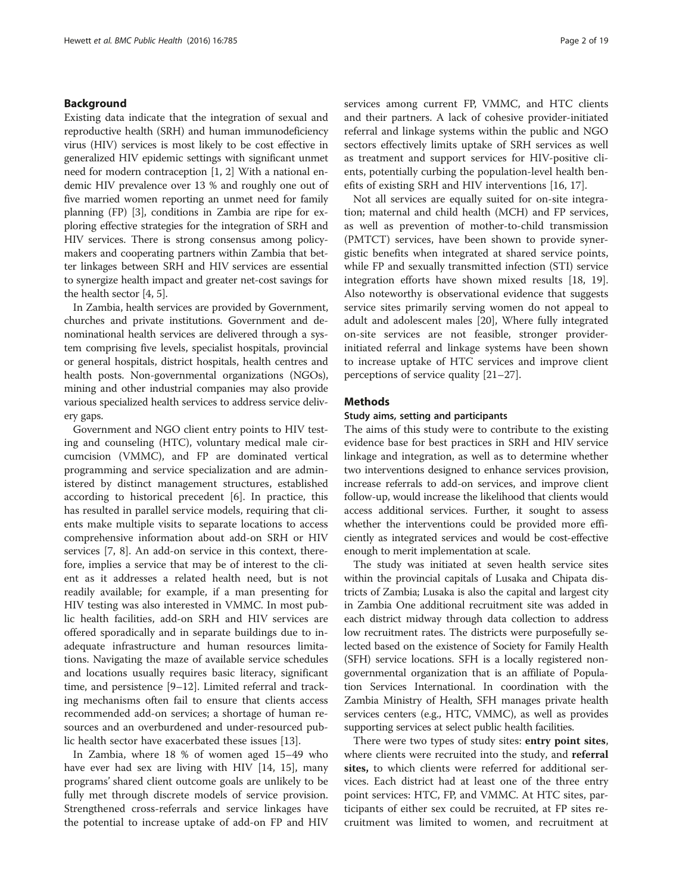# Background

Existing data indicate that the integration of sexual and reproductive health (SRH) and human immunodeficiency virus (HIV) services is most likely to be cost effective in generalized HIV epidemic settings with significant unmet need for modern contraception [[1](#page-17-0), [2](#page-17-0)] With a national endemic HIV prevalence over 13 % and roughly one out of five married women reporting an unmet need for family planning (FP) [[3](#page-17-0)], conditions in Zambia are ripe for exploring effective strategies for the integration of SRH and HIV services. There is strong consensus among policymakers and cooperating partners within Zambia that better linkages between SRH and HIV services are essential to synergize health impact and greater net-cost savings for the health sector [\[4, 5](#page-17-0)].

In Zambia, health services are provided by Government, churches and private institutions. Government and denominational health services are delivered through a system comprising five levels, specialist hospitals, provincial or general hospitals, district hospitals, health centres and health posts. Non-governmental organizations (NGOs), mining and other industrial companies may also provide various specialized health services to address service delivery gaps.

Government and NGO client entry points to HIV testing and counseling (HTC), voluntary medical male circumcision (VMMC), and FP are dominated vertical programming and service specialization and are administered by distinct management structures, established according to historical precedent [[6\]](#page-17-0). In practice, this has resulted in parallel service models, requiring that clients make multiple visits to separate locations to access comprehensive information about add-on SRH or HIV services [\[7](#page-17-0), [8\]](#page-17-0). An add-on service in this context, therefore, implies a service that may be of interest to the client as it addresses a related health need, but is not readily available; for example, if a man presenting for HIV testing was also interested in VMMC. In most public health facilities, add-on SRH and HIV services are offered sporadically and in separate buildings due to inadequate infrastructure and human resources limitations. Navigating the maze of available service schedules and locations usually requires basic literacy, significant time, and persistence [[9](#page-17-0)–[12](#page-17-0)]. Limited referral and tracking mechanisms often fail to ensure that clients access recommended add-on services; a shortage of human resources and an overburdened and under-resourced public health sector have exacerbated these issues [\[13](#page-17-0)].

In Zambia, where 18 % of women aged 15–49 who have ever had sex are living with HIV [[14](#page-17-0), [15](#page-17-0)], many programs' shared client outcome goals are unlikely to be fully met through discrete models of service provision. Strengthened cross-referrals and service linkages have the potential to increase uptake of add-on FP and HIV services among current FP, VMMC, and HTC clients and their partners. A lack of cohesive provider-initiated referral and linkage systems within the public and NGO sectors effectively limits uptake of SRH services as well as treatment and support services for HIV-positive clients, potentially curbing the population-level health benefits of existing SRH and HIV interventions [[16, 17\]](#page-17-0).

Not all services are equally suited for on-site integration; maternal and child health (MCH) and FP services, as well as prevention of mother-to-child transmission (PMTCT) services, have been shown to provide synergistic benefits when integrated at shared service points, while FP and sexually transmitted infection (STI) service integration efforts have shown mixed results [\[18](#page-17-0), [19](#page-17-0)]. Also noteworthy is observational evidence that suggests service sites primarily serving women do not appeal to adult and adolescent males [\[20](#page-17-0)], Where fully integrated on-site services are not feasible, stronger providerinitiated referral and linkage systems have been shown to increase uptake of HTC services and improve client perceptions of service quality [[21](#page-17-0)–[27](#page-17-0)].

#### Methods

#### Study aims, setting and participants

The aims of this study were to contribute to the existing evidence base for best practices in SRH and HIV service linkage and integration, as well as to determine whether two interventions designed to enhance services provision, increase referrals to add-on services, and improve client follow-up, would increase the likelihood that clients would access additional services. Further, it sought to assess whether the interventions could be provided more efficiently as integrated services and would be cost-effective enough to merit implementation at scale.

The study was initiated at seven health service sites within the provincial capitals of Lusaka and Chipata districts of Zambia; Lusaka is also the capital and largest city in Zambia One additional recruitment site was added in each district midway through data collection to address low recruitment rates. The districts were purposefully selected based on the existence of Society for Family Health (SFH) service locations. SFH is a locally registered nongovernmental organization that is an affiliate of Population Services International. In coordination with the Zambia Ministry of Health, SFH manages private health services centers (e.g., HTC, VMMC), as well as provides supporting services at select public health facilities.

There were two types of study sites: **entry point sites**, where clients were recruited into the study, and **referral** sites, to which clients were referred for additional services. Each district had at least one of the three entry point services: HTC, FP, and VMMC. At HTC sites, participants of either sex could be recruited, at FP sites recruitment was limited to women, and recruitment at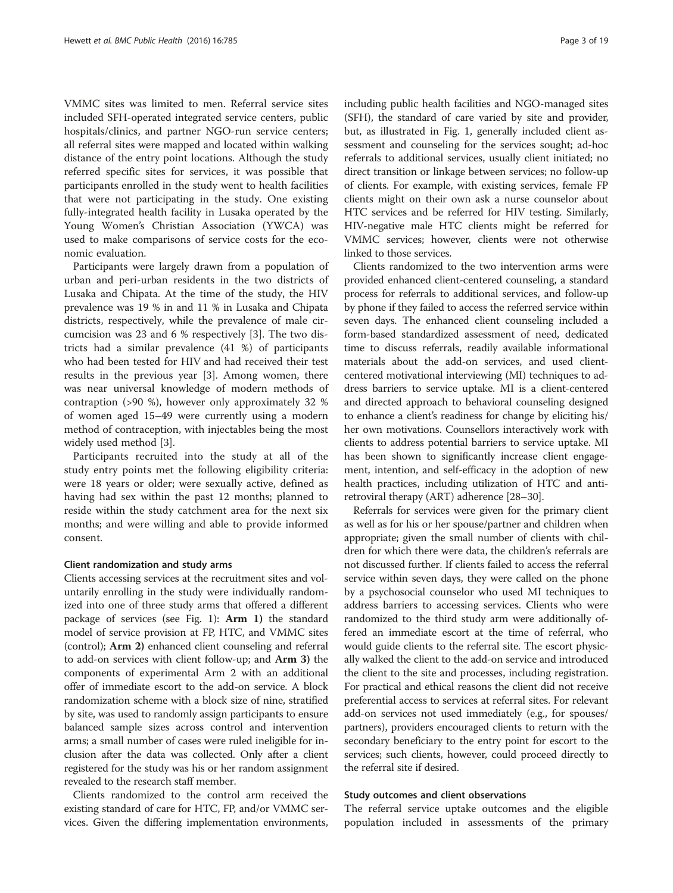VMMC sites was limited to men. Referral service sites included SFH-operated integrated service centers, public hospitals/clinics, and partner NGO-run service centers; all referral sites were mapped and located within walking distance of the entry point locations. Although the study referred specific sites for services, it was possible that participants enrolled in the study went to health facilities that were not participating in the study. One existing fully-integrated health facility in Lusaka operated by the Young Women's Christian Association (YWCA) was used to make comparisons of service costs for the economic evaluation.

Participants were largely drawn from a population of urban and peri-urban residents in the two districts of Lusaka and Chipata. At the time of the study, the HIV prevalence was 19 % in and 11 % in Lusaka and Chipata districts, respectively, while the prevalence of male circumcision was 23 and 6 % respectively [[3\]](#page-17-0). The two districts had a similar prevalence (41 %) of participants who had been tested for HIV and had received their test results in the previous year [[3\]](#page-17-0). Among women, there was near universal knowledge of modern methods of contraption (>90 %), however only approximately 32 % of women aged 15–49 were currently using a modern method of contraception, with injectables being the most widely used method [[3\]](#page-17-0).

Participants recruited into the study at all of the study entry points met the following eligibility criteria: were 18 years or older; were sexually active, defined as having had sex within the past 12 months; planned to reside within the study catchment area for the next six months; and were willing and able to provide informed consent.

# Client randomization and study arms

Clients accessing services at the recruitment sites and voluntarily enrolling in the study were individually randomized into one of three study arms that offered a different package of services (see Fig. [1\)](#page-3-0): Arm 1) the standard model of service provision at FP, HTC, and VMMC sites (control); Arm 2) enhanced client counseling and referral to add-on services with client follow-up; and Arm 3) the components of experimental Arm 2 with an additional offer of immediate escort to the add-on service. A block randomization scheme with a block size of nine, stratified by site, was used to randomly assign participants to ensure balanced sample sizes across control and intervention arms; a small number of cases were ruled ineligible for inclusion after the data was collected. Only after a client registered for the study was his or her random assignment revealed to the research staff member.

Clients randomized to the control arm received the existing standard of care for HTC, FP, and/or VMMC services. Given the differing implementation environments, including public health facilities and NGO-managed sites (SFH), the standard of care varied by site and provider, but, as illustrated in Fig. [1,](#page-3-0) generally included client assessment and counseling for the services sought; ad-hoc referrals to additional services, usually client initiated; no direct transition or linkage between services; no follow-up of clients. For example, with existing services, female FP clients might on their own ask a nurse counselor about HTC services and be referred for HIV testing. Similarly, HIV-negative male HTC clients might be referred for VMMC services; however, clients were not otherwise linked to those services.

Clients randomized to the two intervention arms were provided enhanced client-centered counseling, a standard process for referrals to additional services, and follow-up by phone if they failed to access the referred service within seven days. The enhanced client counseling included a form-based standardized assessment of need, dedicated time to discuss referrals, readily available informational materials about the add-on services, and used clientcentered motivational interviewing (MI) techniques to address barriers to service uptake. MI is a client-centered and directed approach to behavioral counseling designed to enhance a client's readiness for change by eliciting his/ her own motivations. Counsellors interactively work with clients to address potential barriers to service uptake. MI has been shown to significantly increase client engagement, intention, and self-efficacy in the adoption of new health practices, including utilization of HTC and antiretroviral therapy (ART) adherence [\[28](#page-17-0)–[30](#page-17-0)].

Referrals for services were given for the primary client as well as for his or her spouse/partner and children when appropriate; given the small number of clients with children for which there were data, the children's referrals are not discussed further. If clients failed to access the referral service within seven days, they were called on the phone by a psychosocial counselor who used MI techniques to address barriers to accessing services. Clients who were randomized to the third study arm were additionally offered an immediate escort at the time of referral, who would guide clients to the referral site. The escort physically walked the client to the add-on service and introduced the client to the site and processes, including registration. For practical and ethical reasons the client did not receive preferential access to services at referral sites. For relevant add-on services not used immediately (e.g., for spouses/ partners), providers encouraged clients to return with the secondary beneficiary to the entry point for escort to the services; such clients, however, could proceed directly to the referral site if desired.

#### Study outcomes and client observations

The referral service uptake outcomes and the eligible population included in assessments of the primary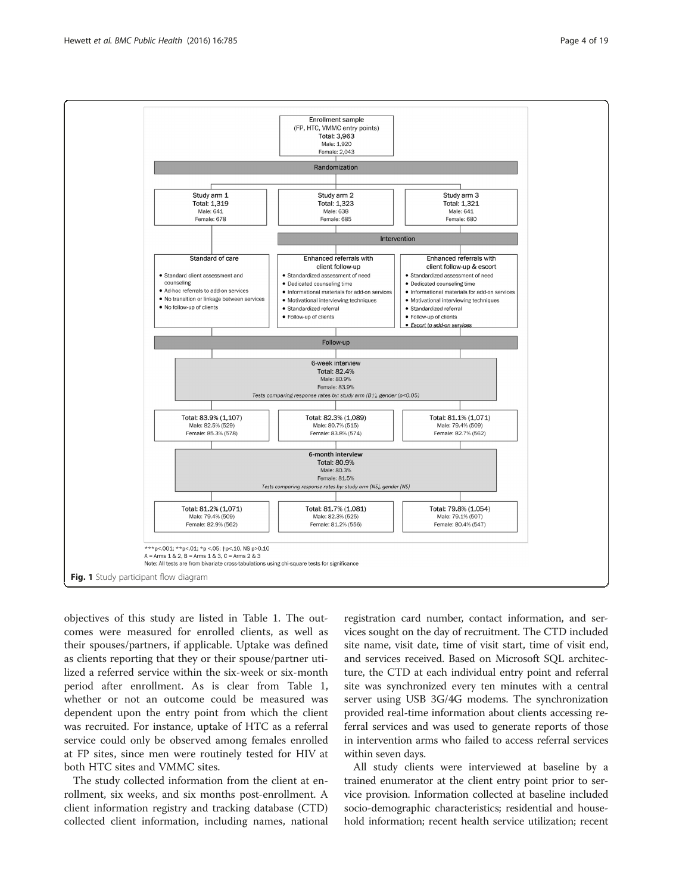<span id="page-3-0"></span>

objectives of this study are listed in Table [1](#page-4-0). The outcomes were measured for enrolled clients, as well as their spouses/partners, if applicable. Uptake was defined as clients reporting that they or their spouse/partner utilized a referred service within the six-week or six-month period after enrollment. As is clear from Table [1](#page-4-0), whether or not an outcome could be measured was dependent upon the entry point from which the client was recruited. For instance, uptake of HTC as a referral service could only be observed among females enrolled at FP sites, since men were routinely tested for HIV at both HTC sites and VMMC sites.

The study collected information from the client at enrollment, six weeks, and six months post-enrollment. A client information registry and tracking database (CTD) collected client information, including names, national

registration card number, contact information, and services sought on the day of recruitment. The CTD included site name, visit date, time of visit start, time of visit end, and services received. Based on Microsoft SQL architecture, the CTD at each individual entry point and referral site was synchronized every ten minutes with a central server using USB 3G/4G modems. The synchronization provided real-time information about clients accessing referral services and was used to generate reports of those in intervention arms who failed to access referral services within seven days.

All study clients were interviewed at baseline by a trained enumerator at the client entry point prior to service provision. Information collected at baseline included socio-demographic characteristics; residential and household information; recent health service utilization; recent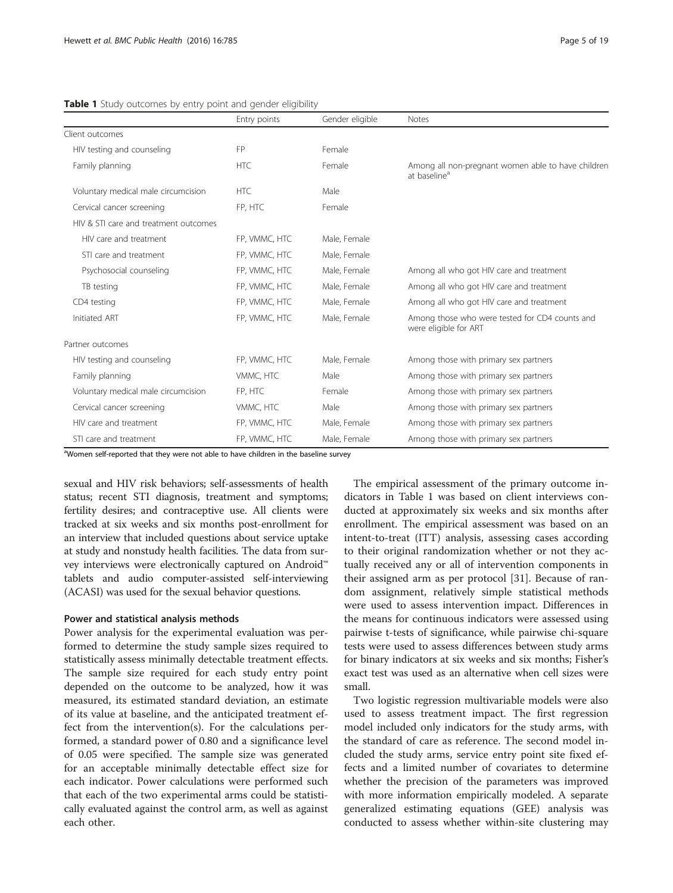|                                       | Entry points  | Gender eligible | <b>Notes</b>                                                                   |  |  |  |  |
|---------------------------------------|---------------|-----------------|--------------------------------------------------------------------------------|--|--|--|--|
| Client outcomes                       |               |                 |                                                                                |  |  |  |  |
| HIV testing and counseling            | <b>FP</b>     | Female          |                                                                                |  |  |  |  |
| Family planning                       | <b>HTC</b>    | Female          | Among all non-pregnant women able to have children<br>at baseline <sup>a</sup> |  |  |  |  |
| Voluntary medical male circumcision   | <b>HTC</b>    | Male            |                                                                                |  |  |  |  |
| Cervical cancer screening             | FP, HTC       | Female          |                                                                                |  |  |  |  |
| HIV & STI care and treatment outcomes |               |                 |                                                                                |  |  |  |  |
| HIV care and treatment                | FP, VMMC, HTC | Male, Female    |                                                                                |  |  |  |  |
| STI care and treatment                | FP, VMMC, HTC | Male, Female    |                                                                                |  |  |  |  |
| Psychosocial counseling               | FP, VMMC, HTC | Male, Female    | Among all who got HIV care and treatment                                       |  |  |  |  |
| TB testing                            | FP, VMMC, HTC | Male, Female    | Among all who got HIV care and treatment                                       |  |  |  |  |
| CD4 testing                           | FP, VMMC, HTC | Male, Female    | Among all who got HIV care and treatment                                       |  |  |  |  |
| Initiated ART                         | FP, VMMC, HTC | Male, Female    | Among those who were tested for CD4 counts and<br>were eligible for ART        |  |  |  |  |
| Partner outcomes                      |               |                 |                                                                                |  |  |  |  |
| HIV testing and counseling            | FP, VMMC, HTC | Male, Female    | Among those with primary sex partners                                          |  |  |  |  |
| Family planning                       | VMMC, HTC     | Male            | Among those with primary sex partners                                          |  |  |  |  |
| Voluntary medical male circumcision   | FP, HTC       | Female          | Among those with primary sex partners                                          |  |  |  |  |
| Cervical cancer screening             | VMMC, HTC     | Male            | Among those with primary sex partners                                          |  |  |  |  |
| HIV care and treatment                | FP, VMMC, HTC | Male, Female    | Among those with primary sex partners                                          |  |  |  |  |
| STI care and treatment                | FP, VMMC, HTC | Male, Female    | Among those with primary sex partners                                          |  |  |  |  |

<span id="page-4-0"></span>Table 1 Study outcomes by entry point and gender eligibility

<sup>a</sup>Women self-reported that they were not able to have children in the baseline survey

sexual and HIV risk behaviors; self-assessments of health status; recent STI diagnosis, treatment and symptoms; fertility desires; and contraceptive use. All clients were tracked at six weeks and six months post-enrollment for an interview that included questions about service uptake at study and nonstudy health facilities. The data from survey interviews were electronically captured on Android™ tablets and audio computer-assisted self-interviewing (ACASI) was used for the sexual behavior questions.

# Power and statistical analysis methods

Power analysis for the experimental evaluation was performed to determine the study sample sizes required to statistically assess minimally detectable treatment effects. The sample size required for each study entry point depended on the outcome to be analyzed, how it was measured, its estimated standard deviation, an estimate of its value at baseline, and the anticipated treatment effect from the intervention(s). For the calculations performed, a standard power of 0.80 and a significance level of 0.05 were specified. The sample size was generated for an acceptable minimally detectable effect size for each indicator. Power calculations were performed such that each of the two experimental arms could be statistically evaluated against the control arm, as well as against each other.

The empirical assessment of the primary outcome indicators in Table 1 was based on client interviews conducted at approximately six weeks and six months after enrollment. The empirical assessment was based on an intent-to-treat (ITT) analysis, assessing cases according to their original randomization whether or not they actually received any or all of intervention components in their assigned arm as per protocol [[31\]](#page-17-0). Because of random assignment, relatively simple statistical methods were used to assess intervention impact. Differences in the means for continuous indicators were assessed using pairwise t-tests of significance, while pairwise chi-square tests were used to assess differences between study arms for binary indicators at six weeks and six months; Fisher's exact test was used as an alternative when cell sizes were small.

Two logistic regression multivariable models were also used to assess treatment impact. The first regression model included only indicators for the study arms, with the standard of care as reference. The second model included the study arms, service entry point site fixed effects and a limited number of covariates to determine whether the precision of the parameters was improved with more information empirically modeled. A separate generalized estimating equations (GEE) analysis was conducted to assess whether within-site clustering may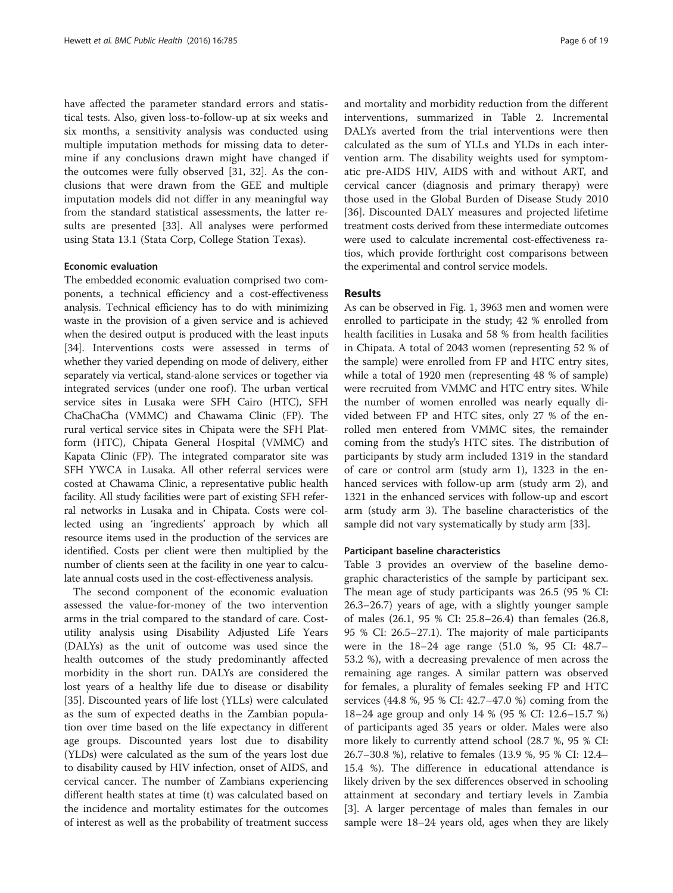have affected the parameter standard errors and statistical tests. Also, given loss-to-follow-up at six weeks and six months, a sensitivity analysis was conducted using multiple imputation methods for missing data to determine if any conclusions drawn might have changed if the outcomes were fully observed [\[31](#page-17-0), [32](#page-17-0)]. As the conclusions that were drawn from the GEE and multiple imputation models did not differ in any meaningful way from the standard statistical assessments, the latter results are presented [[33\]](#page-17-0). All analyses were performed using Stata 13.1 (Stata Corp, College Station Texas).

#### Economic evaluation

The embedded economic evaluation comprised two components, a technical efficiency and a cost-effectiveness analysis. Technical efficiency has to do with minimizing waste in the provision of a given service and is achieved when the desired output is produced with the least inputs [[34](#page-17-0)]. Interventions costs were assessed in terms of whether they varied depending on mode of delivery, either separately via vertical, stand-alone services or together via integrated services (under one roof). The urban vertical service sites in Lusaka were SFH Cairo (HTC), SFH ChaChaCha (VMMC) and Chawama Clinic (FP). The rural vertical service sites in Chipata were the SFH Platform (HTC), Chipata General Hospital (VMMC) and Kapata Clinic (FP). The integrated comparator site was SFH YWCA in Lusaka. All other referral services were costed at Chawama Clinic, a representative public health facility. All study facilities were part of existing SFH referral networks in Lusaka and in Chipata. Costs were collected using an 'ingredients' approach by which all resource items used in the production of the services are identified. Costs per client were then multiplied by the number of clients seen at the facility in one year to calculate annual costs used in the cost-effectiveness analysis.

The second component of the economic evaluation assessed the value-for-money of the two intervention arms in the trial compared to the standard of care. Costutility analysis using Disability Adjusted Life Years (DALYs) as the unit of outcome was used since the health outcomes of the study predominantly affected morbidity in the short run. DALYs are considered the lost years of a healthy life due to disease or disability [[35\]](#page-18-0). Discounted years of life lost (YLLs) were calculated as the sum of expected deaths in the Zambian population over time based on the life expectancy in different age groups. Discounted years lost due to disability (YLDs) were calculated as the sum of the years lost due to disability caused by HIV infection, onset of AIDS, and cervical cancer. The number of Zambians experiencing different health states at time (t) was calculated based on the incidence and mortality estimates for the outcomes of interest as well as the probability of treatment success and mortality and morbidity reduction from the different interventions, summarized in Table [2.](#page-6-0) Incremental DALYs averted from the trial interventions were then calculated as the sum of YLLs and YLDs in each intervention arm. The disability weights used for symptomatic pre-AIDS HIV, AIDS with and without ART, and cervical cancer (diagnosis and primary therapy) were those used in the Global Burden of Disease Study 2010 [[36\]](#page-18-0). Discounted DALY measures and projected lifetime treatment costs derived from these intermediate outcomes were used to calculate incremental cost-effectiveness ratios, which provide forthright cost comparisons between the experimental and control service models.

# Results

As can be observed in Fig. [1](#page-3-0), 3963 men and women were enrolled to participate in the study; 42 % enrolled from health facilities in Lusaka and 58 % from health facilities in Chipata. A total of 2043 women (representing 52 % of the sample) were enrolled from FP and HTC entry sites, while a total of 1920 men (representing 48 % of sample) were recruited from VMMC and HTC entry sites. While the number of women enrolled was nearly equally divided between FP and HTC sites, only 27 % of the enrolled men entered from VMMC sites, the remainder coming from the study's HTC sites. The distribution of participants by study arm included 1319 in the standard of care or control arm (study arm 1), 1323 in the enhanced services with follow-up arm (study arm 2), and 1321 in the enhanced services with follow-up and escort arm (study arm 3). The baseline characteristics of the sample did not vary systematically by study arm [\[33](#page-17-0)].

#### Participant baseline characteristics

Table [3](#page-7-0) provides an overview of the baseline demographic characteristics of the sample by participant sex. The mean age of study participants was 26.5 (95 % CI: 26.3–26.7) years of age, with a slightly younger sample of males (26.1, 95 % CI: 25.8–26.4) than females (26.8, 95 % CI: 26.5–27.1). The majority of male participants were in the 18–24 age range (51.0 %, 95 CI: 48.7– 53.2 %), with a decreasing prevalence of men across the remaining age ranges. A similar pattern was observed for females, a plurality of females seeking FP and HTC services (44.8 %, 95 % CI: 42.7–47.0 %) coming from the 18–24 age group and only 14 % (95 % CI: 12.6–15.7 %) of participants aged 35 years or older. Males were also more likely to currently attend school (28.7 %, 95 % CI: 26.7–30.8 %), relative to females (13.9 %, 95 % CI: 12.4– 15.4 %). The difference in educational attendance is likely driven by the sex differences observed in schooling attainment at secondary and tertiary levels in Zambia [[3\]](#page-17-0). A larger percentage of males than females in our sample were 18–24 years old, ages when they are likely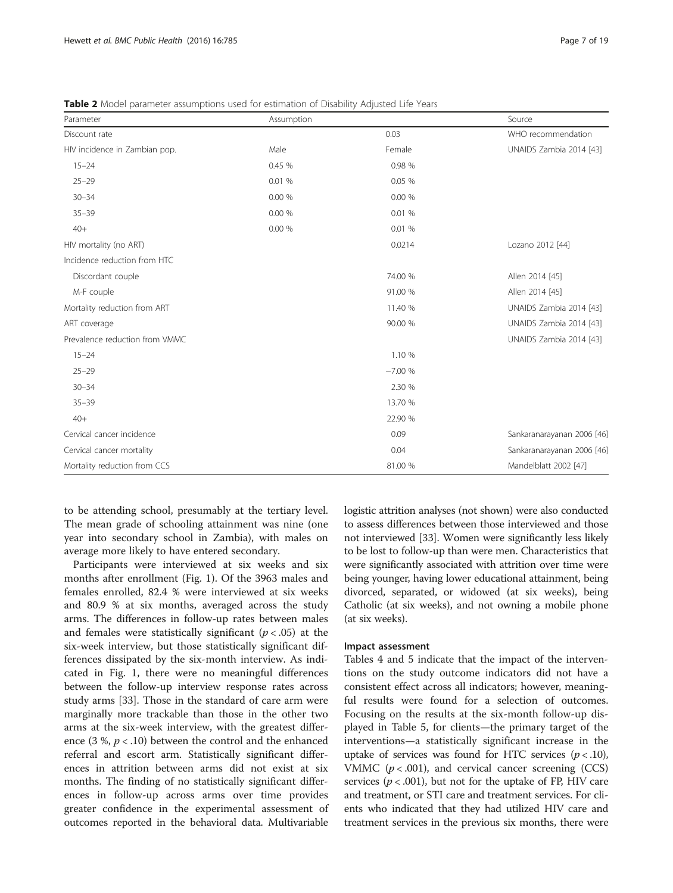| Parameter                      | Assumption |          | Source                     |
|--------------------------------|------------|----------|----------------------------|
| Discount rate                  |            | 0.03     | WHO recommendation         |
| HIV incidence in Zambian pop.  | Male       | Female   | UNAIDS Zambia 2014 [43]    |
| $15 - 24$                      | 0.45 %     | 0.98 %   |                            |
| $25 - 29$                      | 0.01%      | 0.05%    |                            |
| $30 - 34$                      | 0.00 %     | 0.00 %   |                            |
| $35 - 39$                      | 0.00%      | 0.01%    |                            |
| $40+$                          | 0.00%      | 0.01%    |                            |
| HIV mortality (no ART)         |            | 0.0214   | Lozano 2012 [44]           |
| Incidence reduction from HTC   |            |          |                            |
| Discordant couple              |            | 74.00 %  | Allen 2014 [45]            |
| M-F couple                     |            | 91.00 %  | Allen 2014 [45]            |
| Mortality reduction from ART   |            | 11.40 %  | UNAIDS Zambia 2014 [43]    |
| ART coverage                   |            | 90.00 %  | UNAIDS Zambia 2014 [43]    |
| Prevalence reduction from VMMC |            |          | UNAIDS Zambia 2014 [43]    |
| $15 - 24$                      |            | 1.10 %   |                            |
| $25 - 29$                      |            | $-7.00%$ |                            |
| $30 - 34$                      |            | 2.30 %   |                            |
| $35 - 39$                      |            | 13.70 %  |                            |
| $40+$                          |            | 22.90 %  |                            |
| Cervical cancer incidence      |            | 0.09     | Sankaranarayanan 2006 [46] |
| Cervical cancer mortality      |            | 0.04     | Sankaranarayanan 2006 [46] |
| Mortality reduction from CCS   |            | 81.00 %  | Mandelblatt 2002 [47]      |

<span id="page-6-0"></span>Table 2 Model parameter assumptions used for estimation of Disability Adjusted Life Years

to be attending school, presumably at the tertiary level. The mean grade of schooling attainment was nine (one year into secondary school in Zambia), with males on average more likely to have entered secondary.

Participants were interviewed at six weeks and six months after enrollment (Fig. [1](#page-3-0)). Of the 3963 males and females enrolled, 82.4 % were interviewed at six weeks and 80.9 % at six months, averaged across the study arms. The differences in follow-up rates between males and females were statistically significant ( $p < .05$ ) at the six-week interview, but those statistically significant differences dissipated by the six-month interview. As indicated in Fig. [1](#page-3-0), there were no meaningful differences between the follow-up interview response rates across study arms [\[33\]](#page-17-0). Those in the standard of care arm were marginally more trackable than those in the other two arms at the six-week interview, with the greatest difference  $(3 \%, p < .10)$  between the control and the enhanced referral and escort arm. Statistically significant differences in attrition between arms did not exist at six months. The finding of no statistically significant differences in follow-up across arms over time provides greater confidence in the experimental assessment of outcomes reported in the behavioral data. Multivariable logistic attrition analyses (not shown) were also conducted to assess differences between those interviewed and those not interviewed [\[33\]](#page-17-0). Women were significantly less likely to be lost to follow-up than were men. Characteristics that were significantly associated with attrition over time were being younger, having lower educational attainment, being divorced, separated, or widowed (at six weeks), being Catholic (at six weeks), and not owning a mobile phone (at six weeks).

# Impact assessment

Tables [4](#page-8-0) and [5](#page-9-0) indicate that the impact of the interventions on the study outcome indicators did not have a consistent effect across all indicators; however, meaningful results were found for a selection of outcomes. Focusing on the results at the six-month follow-up displayed in Table [5](#page-9-0), for clients—the primary target of the interventions—a statistically significant increase in the uptake of services was found for HTC services  $(p < .10)$ , VMMC ( $p < .001$ ), and cervical cancer screening (CCS) services ( $p < .001$ ), but not for the uptake of FP, HIV care and treatment, or STI care and treatment services. For clients who indicated that they had utilized HIV care and treatment services in the previous six months, there were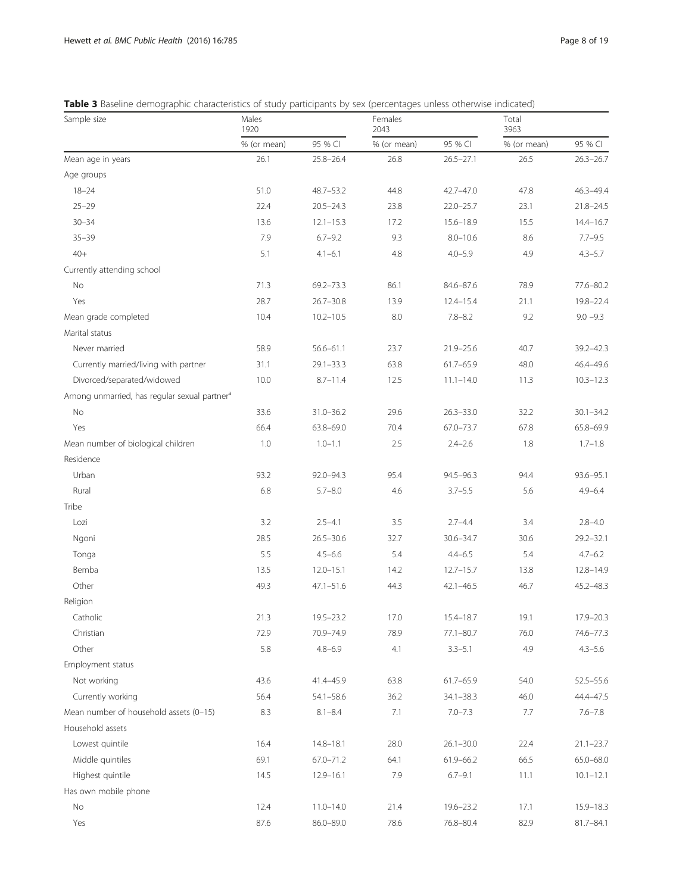<span id="page-7-0"></span>

|  | Table 3 Baseline demographic characteristics of study participants by sex (percentages unless otherwise indicated) |  |  |  |  |
|--|--------------------------------------------------------------------------------------------------------------------|--|--|--|--|
|--|--------------------------------------------------------------------------------------------------------------------|--|--|--|--|

| Sample size                                              | Males<br>1920 |               | Females<br>2043 |               | Total<br>3963 |               |  |
|----------------------------------------------------------|---------------|---------------|-----------------|---------------|---------------|---------------|--|
|                                                          | % (or mean)   | 95 % CI       | % (or mean)     | 95 % CI       | % (or mean)   | 95 % CI       |  |
| Mean age in years                                        | 26.1          | $25.8 - 26.4$ | 26.8            | $26.5 - 27.1$ | 26.5          | $26.3 - 26.7$ |  |
| Age groups                                               |               |               |                 |               |               |               |  |
| $18 - 24$                                                | 51.0          | 48.7-53.2     | 44.8            | 42.7-47.0     | 47.8          | 46.3-49.4     |  |
| $25 - 29$                                                | 22.4          | $20.5 - 24.3$ | 23.8            | $22.0 - 25.7$ | 23.1          | $21.8 - 24.5$ |  |
| $30 - 34$                                                | 13.6          | $12.1 - 15.3$ | 17.2            | $15.6 - 18.9$ | 15.5          | $14.4 - 16.7$ |  |
| $35 - 39$                                                | 7.9           | $6.7 - 9.2$   | 9.3             | $8.0 - 10.6$  | 8.6           | $7.7 - 9.5$   |  |
| $40+$                                                    | 5.1           | $4.1 - 6.1$   | 4.8             | $4.0 - 5.9$   | 4.9           | $4.3 - 5.7$   |  |
| Currently attending school                               |               |               |                 |               |               |               |  |
| No                                                       | 71.3          | $69.2 - 73.3$ | 86.1            | 84.6-87.6     | 78.9          | 77.6-80.2     |  |
| Yes                                                      | 28.7          | $26.7 - 30.8$ | 13.9            | $12.4 - 15.4$ | 21.1          | 19.8-22.4     |  |
| Mean grade completed                                     | 10.4          | $10.2 - 10.5$ | 8.0             | $7.8 - 8.2$   | 9.2           | $9.0 - 9.3$   |  |
| Marital status                                           |               |               |                 |               |               |               |  |
| Never married                                            | 58.9          | $56.6 - 61.1$ | 23.7            | $21.9 - 25.6$ | 40.7          | 39.2-42.3     |  |
| Currently married/living with partner                    | 31.1          | $29.1 - 33.3$ | 63.8            | 61.7-65.9     | 48.0          | 46.4-49.6     |  |
| Divorced/separated/widowed                               | 10.0          | $8.7 - 11.4$  | 12.5            | $11.1 - 14.0$ | 11.3          | $10.3 - 12.3$ |  |
| Among unmarried, has regular sexual partner <sup>a</sup> |               |               |                 |               |               |               |  |
| No                                                       | 33.6          | $31.0 - 36.2$ | 29.6            | $26.3 - 33.0$ | 32.2          | $30.1 - 34.2$ |  |
| Yes                                                      | 66.4          | 63.8-69.0     | 70.4            | $67.0 - 73.7$ | 67.8          | 65.8-69.9     |  |
| Mean number of biological children                       | 1.0           | $1.0 - 1.1$   | 2.5             | $2.4 - 2.6$   | 1.8           | $1.7 - 1.8$   |  |
| Residence                                                |               |               |                 |               |               |               |  |
| Urban                                                    | 93.2          | $92.0 - 94.3$ | 95.4            | $94.5 - 96.3$ | 94.4          | 93.6-95.1     |  |
| Rural                                                    | 6.8           | $5.7 - 8.0$   | 4.6             | $3.7 - 5.5$   | 5.6           | $4.9 - 6.4$   |  |
| Tribe                                                    |               |               |                 |               |               |               |  |
| Lozi                                                     | 3.2           | $2.5 - 4.1$   | 3.5             | $2.7 - 4.4$   | 3.4           | $2.8 - 4.0$   |  |
| Ngoni                                                    | 28.5          | $26.5 - 30.6$ | 32.7            | 30.6-34.7     | 30.6          | $29.2 - 32.1$ |  |
| Tonga                                                    | 5.5           | $4.5 - 6.6$   | 5.4             | $4.4 - 6.5$   | 5.4           | $4.7 - 6.2$   |  |
| Bemba                                                    | 13.5          | $12.0 - 15.1$ | 14.2            | $12.7 - 15.7$ | 13.8          | $12.8 - 14.9$ |  |
| Other                                                    | 49.3          | $47.1 - 51.6$ | 44.3            | $42.1 - 46.5$ | 46.7          | $45.2 - 48.3$ |  |
| Religion                                                 |               |               |                 |               |               |               |  |
| Catholic                                                 | 21.3          | $19.5 - 23.2$ | 17.0            | 15.4-18.7     | 19.1          | 17.9-20.3     |  |
| Christian                                                | 72.9          | 70.9-74.9     | 78.9            | 77.1-80.7     | 76.0          | 74.6-77.3     |  |
| Other                                                    | 5.8           | $4.8 - 6.9$   | 4.1             | $3.3 - 5.1$   | 4.9           | $4.3 - 5.6$   |  |
| Employment status                                        |               |               |                 |               |               |               |  |
| Not working                                              | 43.6          | 41.4-45.9     | 63.8            | 61.7-65.9     | 54.0          | $52.5 - 55.6$ |  |
| Currently working                                        | 56.4          | $54.1 - 58.6$ | 36.2            | $34.1 - 38.3$ | 46.0          | 44.4-47.5     |  |
| Mean number of household assets (0-15)                   | 8.3           | $8.1 - 8.4$   | 7.1             | $7.0 - 7.3$   | 7.7           | $7.6 - 7.8$   |  |
| Household assets                                         |               |               |                 |               |               |               |  |
| Lowest quintile                                          | 16.4          | $14.8 - 18.1$ | 28.0            | $26.1 - 30.0$ | 22.4          | $21.1 - 23.7$ |  |
| Middle quintiles                                         | 69.1          | 67.0-71.2     | 64.1            | $61.9 - 66.2$ | 66.5          | 65.0-68.0     |  |
| Highest quintile                                         | 14.5          | $12.9 - 16.1$ | 7.9             | $6.7 - 9.1$   | 11.1          | $10.1 - 12.1$ |  |
| Has own mobile phone                                     |               |               |                 |               |               |               |  |
| No                                                       | 12.4          | $11.0 - 14.0$ | 21.4            | $19.6 - 23.2$ | 17.1          | 15.9-18.3     |  |
| Yes                                                      | 87.6          | 86.0-89.0     | 78.6            | 76.8-80.4     | 82.9          | 81.7-84.1     |  |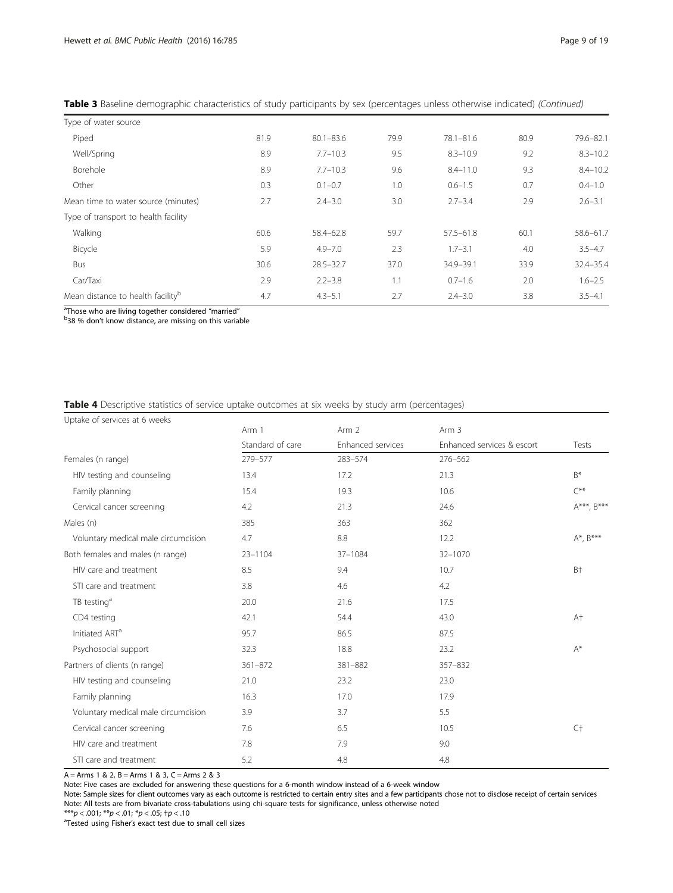| Type of water source                          |      |               |      |               |      |              |
|-----------------------------------------------|------|---------------|------|---------------|------|--------------|
| Piped                                         | 81.9 | $80.1 - 83.6$ | 79.9 | $78.1 - 81.6$ | 80.9 | 79.6-82.1    |
| Well/Spring                                   | 8.9  | $7.7 - 10.3$  | 9.5  | $8.3 - 10.9$  | 9.2  | $8.3 - 10.2$ |
| Borehole                                      | 8.9  | $7.7 - 10.3$  | 9.6  | $8.4 - 11.0$  | 9.3  | $8.4 - 10.2$ |
| Other                                         | 0.3  | $0.1 - 0.7$   | 1.0  | $0.6 - 1.5$   | 0.7  | $0.4 - 1.0$  |
| Mean time to water source (minutes)           | 2.7  | $2.4 - 3.0$   | 3.0  | $2.7 - 3.4$   | 2.9  | $2.6 - 3.1$  |
| Type of transport to health facility          |      |               |      |               |      |              |
| Walking                                       | 60.6 | 58.4-62.8     | 59.7 | $57.5 - 61.8$ | 60.1 | 58.6-61.7    |
| Bicycle                                       | 5.9  | $4.9 - 7.0$   | 2.3  | $1.7 - 3.1$   | 4.0  | $3.5 - 4.7$  |
| Bus                                           | 30.6 | $28.5 - 32.7$ | 37.0 | 34.9-39.1     | 33.9 | 32.4-35.4    |
| Car/Taxi                                      | 2.9  | $2.2 - 3.8$   | 1.1  | $0.7 - 1.6$   | 2.0  | $1.6 - 2.5$  |
| Mean distance to health facility <sup>p</sup> | 4.7  | $4.3 - 5.1$   | 2.7  | $2.4 - 3.0$   | 3.8  | $3.5 - 4.1$  |

<span id="page-8-0"></span>Table 3 Baseline demographic characteristics of study participants by sex (percentages unless otherwise indicated) (Continued)

<sup>a</sup> Those who are living together considered "married"<br><sup>b</sup>28.% don't know distance, are missing on this varia

 $\frac{138}{38}$ % don't know distance, are missing on this variable

#### Table 4 Descriptive statistics of service uptake outcomes at six weeks by study arm (percentages)

| Uptake of services at 6 weeks       |                  |                   |                            |                |
|-------------------------------------|------------------|-------------------|----------------------------|----------------|
|                                     | Arm 1            | Arm 2             | Arm 3                      |                |
|                                     | Standard of care | Enhanced services | Enhanced services & escort | Tests          |
| Females (n range)                   | 279-577          | 283-574           | 276-562                    |                |
| HIV testing and counseling          | 13.4             | 17.2              | 21.3                       | $B^*$          |
| Family planning                     | 15.4             | 19.3              | 10.6                       | $C^{**}$       |
| Cervical cancer screening           | 4.2              | 21.3              | 24.6                       | A***, B***     |
| Males (n)                           | 385              | 363               | 362                        |                |
| Voluntary medical male circumcision | 4.7              | 8.8               | 12.2                       | $A^*, B^{***}$ |
| Both females and males (n range)    | $23 - 1104$      | 37-1084           | $32 - 1070$                |                |
| HIV care and treatment              | 8.5              | 9.4               | 10.7                       | B <sup>+</sup> |
| STI care and treatment              | 3.8              | 4.6               | 4.2                        |                |
| TB testing <sup>a</sup>             | 20.0             | 21.6              | 17.5                       |                |
| CD4 testing                         | 42.1             | 54.4              | 43.0                       | A <sup>+</sup> |
| Initiated ART <sup>a</sup>          | 95.7             | 86.5              | 87.5                       |                |
| Psychosocial support                | 32.3             | 18.8              | 23.2                       | $A^*$          |
| Partners of clients (n range)       | $361 - 872$      | 381-882           | 357-832                    |                |
| HIV testing and counseling          | 21.0             | 23.2              | 23.0                       |                |
| Family planning                     | 16.3             | 17.0              | 17.9                       |                |
| Voluntary medical male circumcision | 3.9              | 3.7               | 5.5                        |                |
| Cervical cancer screening           | 7.6              | 6.5               | 10.5                       | $C+$           |
| HIV care and treatment              | 7.8              | 7.9               | 9.0                        |                |
| STI care and treatment              | 5.2              | 4.8               | 4.8                        |                |

 $A =$  Arms 1 & 2, B = Arms 1 & 3, C = Arms 2 & 3

Note: Five cases are excluded for answering these questions for a 6-month window instead of a 6-week window

Note: Sample sizes for client outcomes vary as each outcome is restricted to certain entry sites and a few participants chose not to disclose receipt of certain services Note: All tests are from bivariate cross-tabulations using chi-square tests for significance, unless otherwise noted

\*\*\*p < .001; \*\*p < .01; \*p < .05;  $\uparrow p$  < .10

<sup>a</sup>Tested using Fisher's exact test due to small cell sizes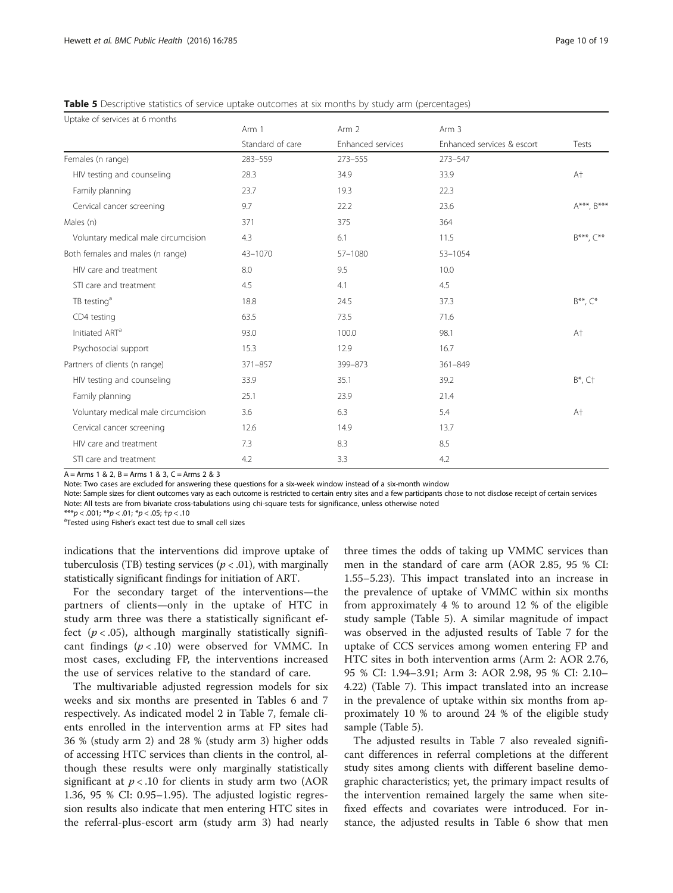<span id="page-9-0"></span>Table 5 Descriptive statistics of service uptake outcomes at six months by study arm (percentages)

| Uptake of services at 6 months      |                  |                   |                            |                  |
|-------------------------------------|------------------|-------------------|----------------------------|------------------|
|                                     | Arm 1            | Arm 2             | Arm 3                      |                  |
|                                     | Standard of care | Enhanced services | Enhanced services & escort | Tests            |
| Females (n range)                   | 283-559          | 273-555           | 273-547                    |                  |
| HIV testing and counseling          | 28.3             | 34.9              | 33.9                       | A <sup>+</sup>   |
| Family planning                     | 23.7             | 19.3              | 22.3                       |                  |
| Cervical cancer screening           | 9.7              | 22.2              | 23.6                       | A***, B***       |
| Males (n)                           | 371              | 375               | 364                        |                  |
| Voluntary medical male circumcision | 4.3              | 6.1               | 11.5                       | $B***$ $C***$    |
| Both females and males (n range)    | $43 - 1070$      | $57 - 1080$       | 53-1054                    |                  |
| HIV care and treatment              | 8.0              | 9.5               | 10.0                       |                  |
| STI care and treatment              | 4.5              | 4.1               | 4.5                        |                  |
| TB testing <sup>a</sup>             | 18.8             | 24.5              | 37.3                       | $B^{**}$ , $C^*$ |
| CD4 testing                         | 63.5             | 73.5              | 71.6                       |                  |
| Initiated ART <sup>a</sup>          | 93.0             | 100.0             | 98.1                       | A <sup>+</sup>   |
| Psychosocial support                | 15.3             | 12.9              | 16.7                       |                  |
| Partners of clients (n range)       | 371-857          | 399-873           | $361 - 849$                |                  |
| HIV testing and counseling          | 33.9             | 35.1              | 39.2                       | $B^*$ , Ct       |
| Family planning                     | 25.1             | 23.9              | 21.4                       |                  |
| Voluntary medical male circumcision | 3.6              | 6.3               | 5.4                        | A <sup>+</sup>   |
| Cervical cancer screening           | 12.6             | 14.9              | 13.7                       |                  |
| HIV care and treatment              | 7.3              | 8.3               | 8.5                        |                  |
| STI care and treatment              | 4.2              | 3.3               | 4.2                        |                  |

 $A =$ Arms 1 & 2, B = Arms 1 & 3, C = Arms 2 & 3

Note: Two cases are excluded for answering these questions for a six-week window instead of a six-month window

Note: Sample sizes for client outcomes vary as each outcome is restricted to certain entry sites and a few participants chose to not disclose receipt of certain services Note: All tests are from bivariate cross-tabulations using chi-square tests for significance, unless otherwise noted

 $**p$  < .001;  $**p$  < .01;  $*p$  < .05;  $tp$  < .10

<sup>a</sup>Tested using Fisher's exact test due to small cell sizes

indications that the interventions did improve uptake of tuberculosis (TB) testing services ( $p < .01$ ), with marginally statistically significant findings for initiation of ART.

For the secondary target of the interventions—the partners of clients—only in the uptake of HTC in study arm three was there a statistically significant effect  $(p < .05)$ , although marginally statistically significant findings  $(p < .10)$  were observed for VMMC. In most cases, excluding FP, the interventions increased the use of services relative to the standard of care.

The multivariable adjusted regression models for six weeks and six months are presented in Tables [6](#page-10-0) and [7](#page-12-0) respectively. As indicated model 2 in Table [7](#page-12-0), female clients enrolled in the intervention arms at FP sites had 36 % (study arm 2) and 28 % (study arm 3) higher odds of accessing HTC services than clients in the control, although these results were only marginally statistically significant at  $p < 0.10$  for clients in study arm two (AOR 1.36, 95 % CI: 0.95–1.95). The adjusted logistic regression results also indicate that men entering HTC sites in the referral-plus-escort arm (study arm 3) had nearly

three times the odds of taking up VMMC services than men in the standard of care arm (AOR 2.85, 95 % CI: 1.55–5.23). This impact translated into an increase in the prevalence of uptake of VMMC within six months from approximately 4 % to around 12 % of the eligible study sample (Table 5). A similar magnitude of impact was observed in the adjusted results of Table [7](#page-12-0) for the uptake of CCS services among women entering FP and HTC sites in both intervention arms (Arm 2: AOR 2.76, 95 % CI: 1.94–3.91; Arm 3: AOR 2.98, 95 % CI: 2.10– 4.22) (Table [7](#page-12-0)). This impact translated into an increase in the prevalence of uptake within six months from approximately 10 % to around 24 % of the eligible study sample (Table 5).

The adjusted results in Table [7](#page-12-0) also revealed significant differences in referral completions at the different study sites among clients with different baseline demographic characteristics; yet, the primary impact results of the intervention remained largely the same when sitefixed effects and covariates were introduced. For instance, the adjusted results in Table [6](#page-10-0) show that men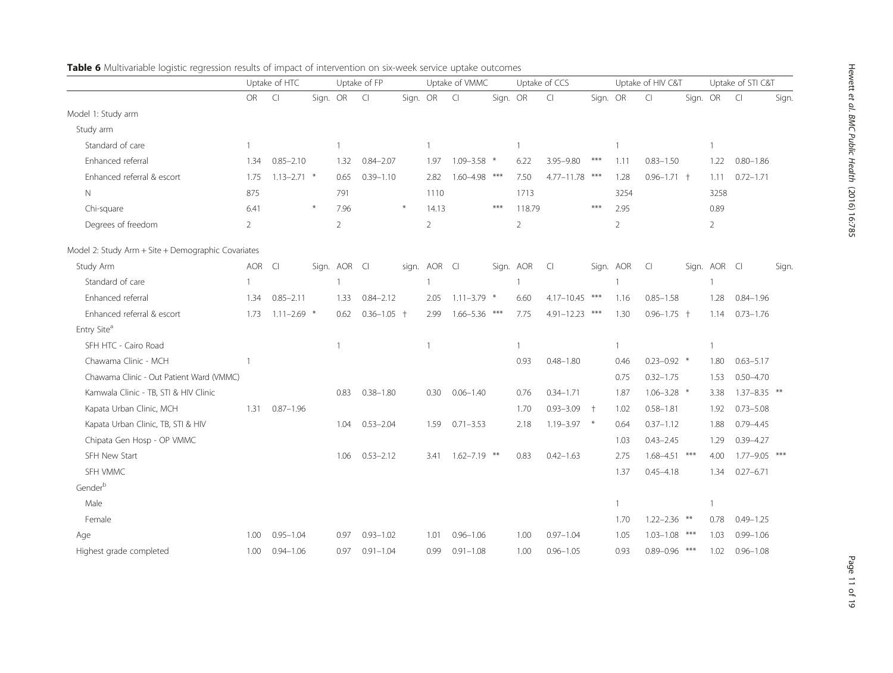|                                                    |           | Uptake of HTC   |          |                | Uptake of FP    |          |                | Uptake of VMMC    |          | Uptake of CCS  |                    |          | Uptake of HIV C&T |                   |          | Uptake of STI C&T |                   |      |
|----------------------------------------------------|-----------|-----------------|----------|----------------|-----------------|----------|----------------|-------------------|----------|----------------|--------------------|----------|-------------------|-------------------|----------|-------------------|-------------------|------|
|                                                    | <b>OR</b> | $\Box$          | Sign. OR |                | $\Box$          | Sign. OR |                | $\Box$            | Sign. OR |                | $\overline{C}$     | Sign. OR |                   | $\Box$            | Sign. OR |                   | $\overline{C}$    | Sign |
| Model 1: Study arm                                 |           |                 |          |                |                 |          |                |                   |          |                |                    |          |                   |                   |          |                   |                   |      |
| Study arm                                          |           |                 |          |                |                 |          |                |                   |          |                |                    |          |                   |                   |          |                   |                   |      |
| Standard of care                                   | -1        |                 |          | $\mathbf{1}$   |                 |          | $\overline{1}$ |                   |          | $\overline{1}$ |                    |          | 1                 |                   |          | $\mathbf{1}$      |                   |      |
| Enhanced referral                                  | 1.34      | $0.85 - 2.10$   |          | 1.32           | $0.84 - 2.07$   |          | 1.97           | $1.09 - 3.58$ *   |          | 6.22           | 3.95-9.80          | $***$    | 1.11              | $0.83 - 1.50$     |          | 1.22              | $0.80 - 1.86$     |      |
| Enhanced referral & escort                         | 1.75      | $1.13 - 2.71$ * |          | 0.65           | $0.39 - 1.10$   |          | 2.82           | $1.60 - 4.98$ *** |          | 7.50           | 4.77-11.78 ***     |          | 1.28              | $0.96 - 1.71 +$   |          | 1.11              | $0.72 - 1.71$     |      |
| N                                                  | 875       |                 |          | 791            |                 |          | 1110           |                   |          | 1713           |                    |          | 3254              |                   |          | 3258              |                   |      |
| Chi-square                                         | 6.41      |                 |          | 7.96           |                 | $\ast$   | 14.13          |                   | $***$    | 118.79         |                    | $***$    | 2.95              |                   |          | 0.89              |                   |      |
| Degrees of freedom                                 | 2         |                 |          | $\overline{2}$ |                 |          | 2              |                   |          | $\overline{2}$ |                    |          | 2                 |                   |          | $\overline{2}$    |                   |      |
| Model 2: Study Arm + Site + Demographic Covariates |           |                 |          |                |                 |          |                |                   |          |                |                    |          |                   |                   |          |                   |                   |      |
| Study Arm                                          | AOR CI    |                 |          | Sign. AOR CI   |                 |          | sign. AOR Cl   |                   |          | Sign. AOR      | $\overline{C}$     |          | Sign. AOR         | $\overline{C}$    |          | Sign. AOR CI      |                   | Sign |
| Standard of care                                   |           |                 |          | $\mathbf{1}$   |                 |          | $\overline{1}$ |                   |          | 1              |                    |          | 1                 |                   |          | $\mathbf{1}$      |                   |      |
| Enhanced referral                                  | 1.34      | $0.85 - 2.11$   |          | 1.33           | $0.84 - 2.12$   |          | 2.05           | $1.11 - 3.79$ *   |          | 6.60           | 4.17-10.45 ***     |          | 1.16              | $0.85 - 1.58$     |          | 1.28              | $0.84 - 1.96$     |      |
| Enhanced referral & escort                         | 1.73      | $1.11 - 2.69$ * |          | 0.62           | $0.36 - 1.05$ † |          | 2.99           | $1.66 - 5.36$ *** |          | 7.75           | $4.91 - 12.23$ *** |          | 1.30              | $0.96 - 1.75$ +   |          | 1.14              | $0.73 - 1.76$     |      |
| Entry Site <sup>a</sup>                            |           |                 |          |                |                 |          |                |                   |          |                |                    |          |                   |                   |          |                   |                   |      |
| SFH HTC - Cairo Road                               |           |                 |          | $\overline{1}$ |                 |          | $\overline{1}$ |                   |          |                |                    |          | 1                 |                   |          | $\overline{1}$    |                   |      |
| Chawama Clinic - MCH                               |           |                 |          |                |                 |          |                |                   |          | 0.93           | $0.48 - 1.80$      |          | 0.46              | $0.23 - 0.92$ *   |          | 1.80              | $0.63 - 5.17$     |      |
| Chawama Clinic - Out Patient Ward (VMMC)           |           |                 |          |                |                 |          |                |                   |          |                |                    |          | 0.75              | $0.32 - 1.75$     |          | 1.53              | $0.50 - 4.70$     |      |
| Kamwala Clinic - TB, STI & HIV Clinic              |           |                 |          | 0.83           | $0.38 - 1.80$   |          | 0.30           | $0.06 - 1.40$     |          | 0.76           | $0.34 - 1.71$      |          | 1.87              | $1.06 - 3.28$ *   |          | 3.38              | $1.37 - 8.35$ **  |      |
| Kapata Urban Clinic, MCH                           | 1.31      | $0.87 - 1.96$   |          |                |                 |          |                |                   |          | 1.70           | $0.93 - 3.09$      | $+$      | 1.02              | $0.58 - 1.81$     |          | 1.92              | $0.73 - 5.08$     |      |
| Kapata Urban Clinic, TB, STI & HIV                 |           |                 |          | 1.04           | $0.53 - 2.04$   |          | 1.59           | $0.71 - 3.53$     |          | 2.18           | $1.19 - 3.97$ *    |          | 0.64              | $0.37 - 1.12$     |          | 1.88              | $0.79 - 4.45$     |      |
| Chipata Gen Hosp - OP VMMC                         |           |                 |          |                |                 |          |                |                   |          |                |                    |          | 1.03              | $0.43 - 2.45$     |          | 1.29              | $0.39 - 4.27$     |      |
| SFH New Start                                      |           |                 |          | 1.06           | $0.53 - 2.12$   |          | 3.41           | $1.62 - 7.19$ **  |          | 0.83           | $0.42 - 1.63$      |          | 2.75              | $1.68 - 4.51$ *** |          | 4.00              | $1.77 - 9.05$ *** |      |
| SFH VMMC                                           |           |                 |          |                |                 |          |                |                   |          |                |                    |          | 1.37              | $0.45 - 4.18$     |          | 1.34              | $0.27 - 6.71$     |      |
| Genderb                                            |           |                 |          |                |                 |          |                |                   |          |                |                    |          |                   |                   |          |                   |                   |      |
| Male                                               |           |                 |          |                |                 |          |                |                   |          |                |                    |          | $\mathbf{1}$      |                   |          | $\overline{1}$    |                   |      |
| Female                                             |           |                 |          |                |                 |          |                |                   |          |                |                    |          | 1.70              | $1.22 - 2.36$ **  |          | 0.78              | $0.49 - 1.25$     |      |
| Age                                                | 1.00      | $0.95 - 1.04$   |          | 0.97           | $0.93 - 1.02$   |          | 1.01           | $0.96 - 1.06$     |          | 1.00           | $0.97 - 1.04$      |          | 1.05              | $1.03 - 1.08$ *** |          | 1.03              | $0.99 - 1.06$     |      |
| Highest grade completed                            | 1.00      | $0.94 - 1.06$   |          | 0.97           | $0.91 - 1.04$   |          | 0.99           | $0.91 - 1.08$     |          | 1.00           | $0.96 - 1.05$      |          | 0.93              | $0.89 - 0.96$     | ***      | 1.02              | $0.96 - 1.08$     |      |

<span id="page-10-0"></span>Table 6 Multivariable logistic regression results of impact of intervention on six-week service uptake outcomes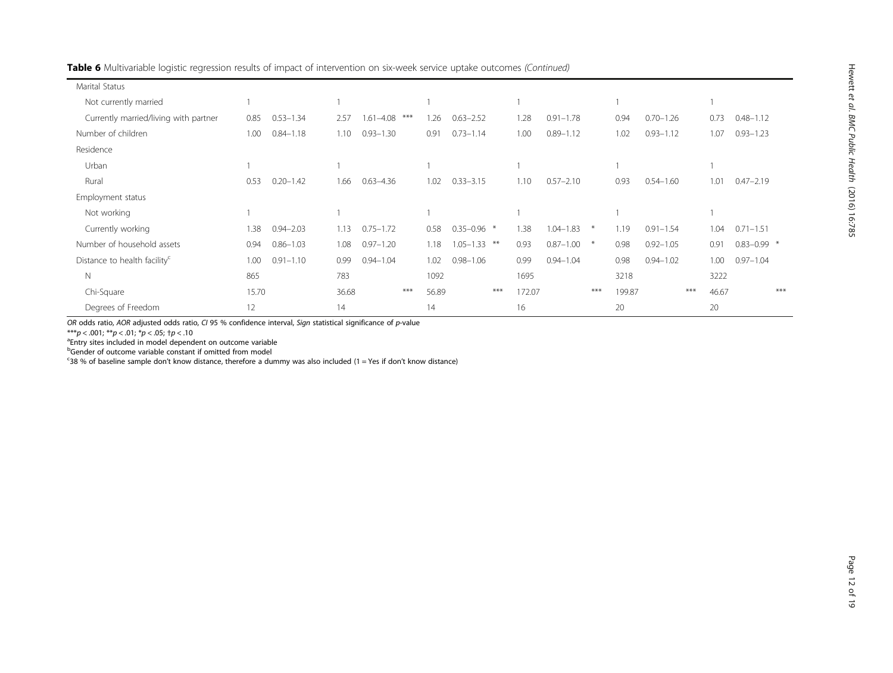| Table 6 Multivariable logistic regression results of impact of intervention on six-week service uptake outcomes (Continued) |  |
|-----------------------------------------------------------------------------------------------------------------------------|--|
|-----------------------------------------------------------------------------------------------------------------------------|--|

| Marital Status                           |       |               |       |               |       |       |                  |       |        |               |        |        |               |       |       |                 |       |
|------------------------------------------|-------|---------------|-------|---------------|-------|-------|------------------|-------|--------|---------------|--------|--------|---------------|-------|-------|-----------------|-------|
| Not currently married                    |       |               |       |               |       |       |                  |       |        |               |        |        |               |       |       |                 |       |
| Currently married/living with partner    | 0.85  | $0.53 - 1.34$ | 2.57  | $1.61 - 4.08$ | $***$ | 1.26  | $0.63 - 2.52$    |       | 1.28   | $0.91 - 1.78$ |        | 0.94   | $0.70 - 1.26$ |       | 0.73  | $0.48 - 1.12$   |       |
| Number of children                       | 1.00  | $0.84 - 1.18$ | 1.10  | $0.93 - 1.30$ |       | 0.91  | $0.73 - 1.14$    |       | 1.00   | $0.89 - 1.12$ |        | 1.02   | $0.93 - 1.12$ |       | 1.07  | $0.93 - 1.23$   |       |
| Residence                                |       |               |       |               |       |       |                  |       |        |               |        |        |               |       |       |                 |       |
| Urban                                    |       |               |       |               |       |       |                  |       |        |               |        |        |               |       |       |                 |       |
| Rural                                    | 0.53  | $0.20 - 1.42$ | 1.66  | $0.63 - 4.36$ |       | 1.02  | $0.33 - 3.15$    |       | 1.10   | $0.57 - 2.10$ |        | 0.93   | $0.54 - 1.60$ |       | 1.01  | $0.47 - 2.19$   |       |
| Employment status                        |       |               |       |               |       |       |                  |       |        |               |        |        |               |       |       |                 |       |
| Not working                              |       |               |       |               |       |       |                  |       |        |               |        |        |               |       |       |                 |       |
| Currently working                        | 1.38  | $0.94 - 2.03$ | 1.13  | $0.75 - 1.72$ |       | 0.58  | $0.35 - 0.96$ *  |       | 1.38   | $1.04 - 1.83$ | $\ast$ | 1.19   | $0.91 - 1.54$ |       | 1.04  | $0.71 - 1.51$   |       |
| Number of household assets               | 0.94  | $0.86 - 1.03$ | 1.08  | $0.97 - 1.20$ |       | 1.18  | $1.05 - 1.33$ ** |       | 0.93   | $0.87 - 1.00$ | $*$    | 0.98   | $0.92 - 1.05$ |       | 0.91  | $0.83 - 0.99$ * |       |
| Distance to health facility <sup>c</sup> | 1.00  | $0.91 - 1.10$ | 0.99  | $0.94 - 1.04$ |       | 1.02  | $0.98 - 1.06$    |       | 0.99   | $0.94 - 1.04$ |        | 0.98   | $0.94 - 1.02$ |       | 1.00  | $0.97 - 1.04$   |       |
| $\mathbb N$                              | 865   |               | 783   |               |       | 1092  |                  |       | 1695   |               |        | 3218   |               |       | 3222  |                 |       |
| Chi-Square                               | 15.70 |               | 36.68 |               | $***$ | 56.89 |                  | $***$ | 172.07 |               | $***$  | 199.87 |               | $***$ | 46.67 |                 | $***$ |
| Degrees of Freedom                       | 12    |               | 14    |               |       | 14    |                  |       | 16     |               |        | 20     |               |       | 20    |                 |       |

OR odds ratio, AOR adjusted odds ratio, CI 95 % confidence interval, Sign statistical significance of p-value

\*\*\*p < .001; \*\*p < .01; \*p < .05;  $\uparrow p$  < .10

<sup>a</sup>Entry sites included in model dependent on outcome variable

<sup>b</sup>Gender of outcome variable constant if omitted from model

c 38 % of baseline sample don't know distance, therefore a dummy was also included (1 = Yes if don't know distance)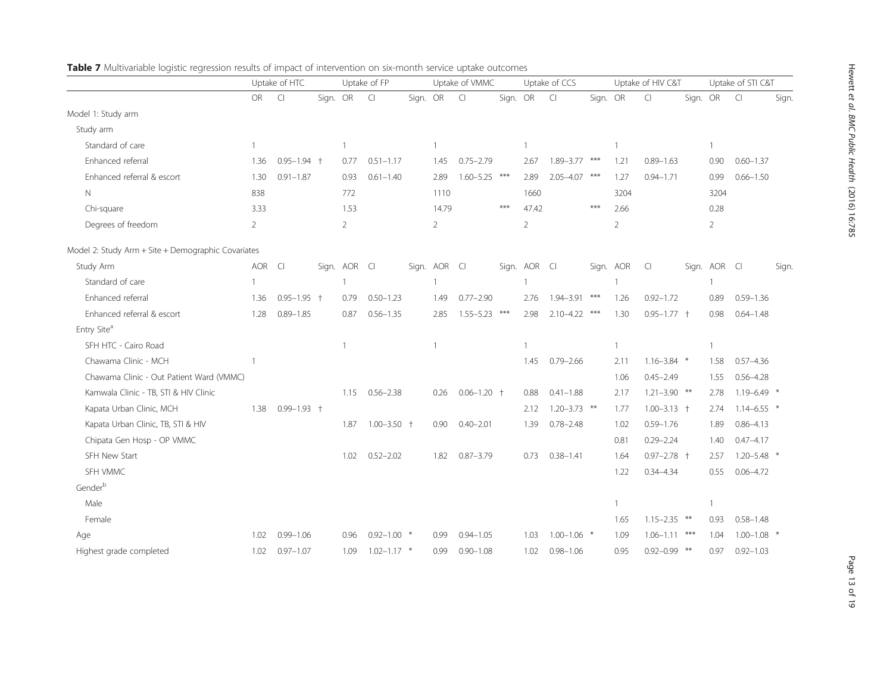|                                                    |                | Uptake of HTC   |          |                | Uptake of FP    |          | Uptake of VMMC |                 |          | Uptake of CCS  |                   |          | Uptake of HIV C&T |                   |          | Uptake of STI C&T |                 |       |
|----------------------------------------------------|----------------|-----------------|----------|----------------|-----------------|----------|----------------|-----------------|----------|----------------|-------------------|----------|-------------------|-------------------|----------|-------------------|-----------------|-------|
|                                                    | <b>OR</b>      | $\Box$          | Sign. OR |                | $\Box$          | Sign. OR |                | $\Box$          | Sign. OR |                | $\overline{C}$    | Sign. OR |                   | $\overline{C}$    | Sign. OR |                   | Cl              | Sign. |
| Model 1: Study arm                                 |                |                 |          |                |                 |          |                |                 |          |                |                   |          |                   |                   |          |                   |                 |       |
| Study arm                                          |                |                 |          |                |                 |          |                |                 |          |                |                   |          |                   |                   |          |                   |                 |       |
| Standard of care                                   |                |                 |          | $\overline{1}$ |                 |          |                |                 |          | $\mathbf{1}$   |                   |          | $\mathbf{1}$      |                   |          | 1                 |                 |       |
| Enhanced referral                                  | 1.36           | $0.95 - 1.94$ + |          | 0.77           | $0.51 - 1.17$   |          | 1.45           | $0.75 - 2.79$   |          | 2.67           | $1.89 - 3.77$ *** |          | 1.21              | $0.89 - 1.63$     |          | 0.90              | $0.60 - 1.37$   |       |
| Enhanced referral & escort                         | 1.30           | $0.91 - 1.87$   |          | 0.93           | $0.61 - 1.40$   |          | 2.89           | $1.60 - 5.25$   | ***      | 2.89           | $2.05 - 4.07$ *** |          | 1.27              | $0.94 - 1.71$     |          | 0.99              | $0.66 - 1.50$   |       |
| N                                                  | 838            |                 |          | 772            |                 |          | 1110           |                 |          | 1660           |                   |          | 3204              |                   |          | 3204              |                 |       |
| Chi-square                                         | 3.33           |                 |          | 1.53           |                 |          | 14.79          |                 | $***$    | 47.42          |                   | $***$    | 2.66              |                   |          | 0.28              |                 |       |
| Degrees of freedom                                 | $\overline{2}$ |                 |          | $\overline{2}$ |                 |          | $\overline{2}$ |                 |          | $\overline{2}$ |                   |          | $\overline{2}$    |                   |          | $\overline{2}$    |                 |       |
| Model 2: Study Arm + Site + Demographic Covariates |                |                 |          |                |                 |          |                |                 |          |                |                   |          |                   |                   |          |                   |                 |       |
| Study Arm                                          | AOR            | $\Box$          |          | Sign. AOR CI   |                 |          | Sign. AOR CI   |                 |          | Sign. AOR CI   |                   |          | Sign. AOR         | $\Box$            |          | Sign. AOR CI      |                 | Sign. |
| Standard of care                                   |                |                 |          | $\mathbf{1}$   |                 |          |                |                 |          | $\overline{1}$ |                   |          | $\mathbf{1}$      |                   |          | $\mathbf{1}$      |                 |       |
| Enhanced referral                                  | 1.36           | $0.95 - 1.95$ + |          | 0.79           | $0.50 - 1.23$   |          | 1.49           | $0.77 - 2.90$   |          | 2.76           | $1.94 - 3.91$ *** |          | 1.26              | $0.92 - 1.72$     |          | 0.89              | $0.59 - 1.36$   |       |
| Enhanced referral & escort                         | 1.28           | $0.89 - 1.85$   |          | 0.87           | $0.56 - 1.35$   |          | 2.85           | $1.55 - 5.23$   | $***$    | 2.98           | $2.10 - 4.22$ *** |          | 1.30              | $0.95 - 1.77 +$   |          | 0.98              | $0.64 - 1.48$   |       |
| Entry Site <sup>a</sup>                            |                |                 |          |                |                 |          |                |                 |          |                |                   |          |                   |                   |          |                   |                 |       |
| SFH HTC - Cairo Road                               |                |                 |          | $\overline{1}$ |                 |          |                |                 |          | $\mathbf{1}$   |                   |          |                   |                   |          |                   |                 |       |
| Chawama Clinic - MCH                               |                |                 |          |                |                 |          |                |                 |          | 1.45           | $0.79 - 2.66$     |          | 2.11              | $1.16 - 3.84$ *   |          | 1.58              | $0.57 - 4.36$   |       |
| Chawama Clinic - Out Patient Ward (VMMC)           |                |                 |          |                |                 |          |                |                 |          |                |                   |          | 1.06              | $0.45 - 2.49$     |          | 1.55              | $0.56 - 4.28$   |       |
| Kamwala Clinic - TB, STI & HIV Clinic              |                |                 |          | 1.15           | $0.56 - 2.38$   |          | 0.26           | $0.06 - 1.20$ † |          | 0.88           | $0.41 - 1.88$     |          | 2.17              | $1.21 - 3.90$ **  |          | 2.78              | $1.19 - 6.49$ * |       |
| Kapata Urban Clinic, MCH                           | 1.38           | $0.99 - 1.93 +$ |          |                |                 |          |                |                 |          | 2.12           | $1.20 - 3.73$ **  |          | 1.77              | $1.00 - 3.13 +$   |          | 2.74              | $1.14 - 6.55$ * |       |
| Kapata Urban Clinic, TB, STI & HIV                 |                |                 |          | 1.87           | $1.00 - 3.50 +$ |          | 0.90           | $0.40 - 2.01$   |          | 1.39           | $0.78 - 2.48$     |          | 1.02              | $0.59 - 1.76$     |          | 1.89              | $0.86 - 4.13$   |       |
| Chipata Gen Hosp - OP VMMC                         |                |                 |          |                |                 |          |                |                 |          |                |                   |          | 0.81              | $0.29 - 2.24$     |          | 1.40              | $0.47 - 4.17$   |       |
| SFH New Start                                      |                |                 |          | 1.02           | $0.52 - 2.02$   |          | 1.82           | $0.87 - 3.79$   |          | 0.73           | $0.38 - 1.41$     |          | 1.64              | $0.97 - 2.78$ +   |          | 2.57              | $1.20 - 5.48$ * |       |
| SFH VMMC                                           |                |                 |          |                |                 |          |                |                 |          |                |                   |          | 1.22              | $0.34 - 4.34$     |          | 0.55              | $0.06 - 4.72$   |       |
| Genderb                                            |                |                 |          |                |                 |          |                |                 |          |                |                   |          |                   |                   |          |                   |                 |       |
| Male                                               |                |                 |          |                |                 |          |                |                 |          |                |                   |          | $\mathbf{1}$      |                   |          | $\mathbf{1}$      |                 |       |
| Female                                             |                |                 |          |                |                 |          |                |                 |          |                |                   |          | 1.65              | $1.15 - 2.35$ **  |          | 0.93              | $0.58 - 1.48$   |       |
| Age                                                | 1.02           | $0.99 - 1.06$   |          | 0.96           | $0.92 - 1.00$ * |          | 0.99           | $0.94 - 1.05$   |          | 1.03           | $1.00 - 1.06$ *   |          | 1.09              | $1.06 - 1.11$ *** |          | 1.04              | $1.00 - 1.08$ * |       |
| Highest grade completed                            | 1.02           | $0.97 - 1.07$   |          | 1.09           | $1.02 - 1.17$ * |          | 0.99           | $0.90 - 1.08$   |          | 1.02           | $0.98 - 1.06$     |          | 0.95              | $0.92 - 0.99$ **  |          | 0.97              | $0.92 - 1.03$   |       |

<span id="page-12-0"></span>Table 7 Multivariable logistic regression results of impact of intervention on six-month service uptake outcomes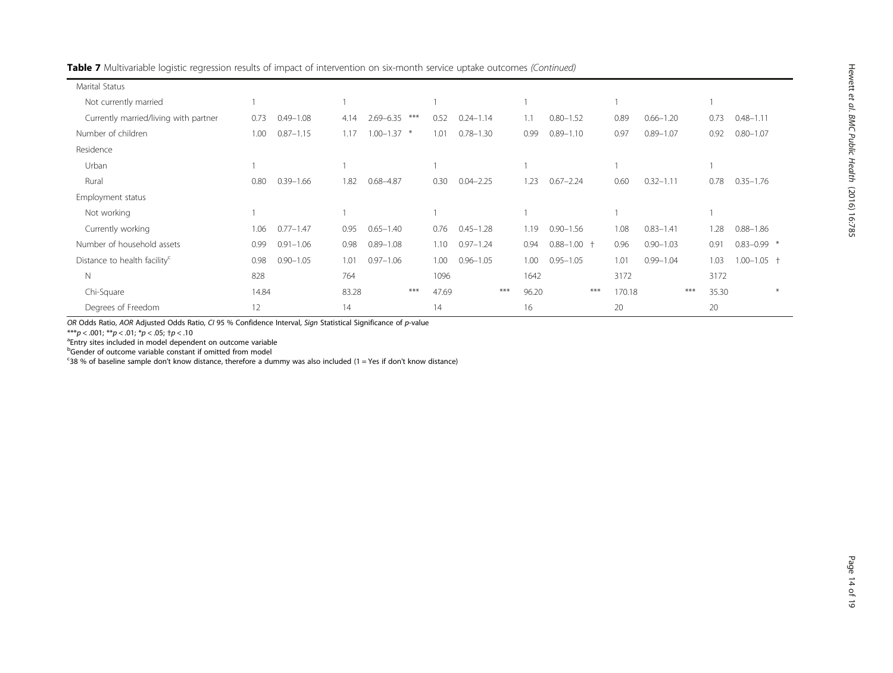|  | Table 7 Multivariable logistic regression results of impact of intervention on six-month service uptake outcomes (Continued) |  |  |  |  |  |  |
|--|------------------------------------------------------------------------------------------------------------------------------|--|--|--|--|--|--|
|--|------------------------------------------------------------------------------------------------------------------------------|--|--|--|--|--|--|

| Marital Status                           |       |               |       |                   |     |       |               |       |       |                 |       |        |               |       |       |                 |     |
|------------------------------------------|-------|---------------|-------|-------------------|-----|-------|---------------|-------|-------|-----------------|-------|--------|---------------|-------|-------|-----------------|-----|
| Not currently married                    |       |               |       |                   |     |       |               |       |       |                 |       |        |               |       |       |                 |     |
| Currently married/living with partner    | 0.73  | $0.49 - 1.08$ | 4.14  | $2.69 - 6.35$ *** |     | 0.52  | $0.24 - 1.14$ |       | 1.1   | $0.80 - 1.52$   |       | 0.89   | $0.66 - 1.20$ |       | 0.73  | $0.48 - 1.11$   |     |
| Number of children                       | 1.00  | $0.87 - 1.15$ | 1.17  | $1.00 - 1.37$ *   |     | 1.01  | $0.78 - 1.30$ |       | 0.99  | $0.89 - 1.10$   |       | 0.97   | $0.89 - 1.07$ |       | 0.92  | $0.80 - 1.07$   |     |
| Residence                                |       |               |       |                   |     |       |               |       |       |                 |       |        |               |       |       |                 |     |
| Urban                                    |       |               |       |                   |     |       |               |       |       |                 |       |        |               |       |       |                 |     |
| Rural                                    | 0.80  | $0.39 - 1.66$ | 1.82  | $0.68 - 4.87$     |     | 0.30  | $0.04 - 2.25$ |       | 1.23  | $0.67 - 2.24$   |       | 0.60   | $0.32 - 1.11$ |       | 0.78  | $0.35 - 1.76$   |     |
| Employment status                        |       |               |       |                   |     |       |               |       |       |                 |       |        |               |       |       |                 |     |
| Not working                              |       |               |       |                   |     |       |               |       |       |                 |       |        |               |       |       |                 |     |
| Currently working                        | 1.06  | $0.77 - 1.47$ | 0.95  | $0.65 - 1.40$     |     | 0.76  | $0.45 - 1.28$ |       | 1.19  | $0.90 - 1.56$   |       | 1.08   | $0.83 - 1.41$ |       | 1.28  | $0.88 - 1.86$   |     |
| Number of household assets               | 0.99  | $0.91 - 1.06$ | 0.98  | $0.89 - 1.08$     |     | 1.10  | $0.97 - 1.24$ |       | 0.94  | $0.88 - 1.00 +$ |       | 0.96   | $0.90 - 1.03$ |       | 0.91  | $0.83 - 0.99$ * |     |
| Distance to health facility <sup>c</sup> | 0.98  | $0.90 - 1.05$ | 1.01  | $0.97 - 1.06$     |     | 1.00  | $0.96 - 1.05$ |       | 1.00  | $0.95 - 1.05$   |       | 1.01   | $0.99 - 1.04$ |       | 1.03  | $1.00 - 1.05 +$ |     |
| $\mathbb N$                              | 828   |               | 764   |                   |     | 1096  |               |       | 1642  |                 |       | 3172   |               |       | 3172  |                 |     |
| Chi-Square                               | 14.84 |               | 83.28 |                   | *** | 47.69 |               | $***$ | 96.20 |                 | $***$ | 170.18 |               | $***$ | 35.30 |                 | $*$ |
| Degrees of Freedom                       | 12    |               | 14    |                   |     | 14    |               |       | 16    |                 |       | 20     |               |       | 20    |                 |     |

OR Odds Ratio, AOR Adjusted Odds Ratio, CI 95 % Confidence Interval, Sign Statistical Significance of p-value

\*\*\*p < .001; \*\*p < .01; \*p < .05;  $\uparrow p$  < .10

<sup>a</sup>Entry sites included in model dependent on outcome variable

<sup>b</sup>Gender of outcome variable constant if omitted from model

c 38 % of baseline sample don't know distance, therefore a dummy was also included (1 = Yes if don't know distance)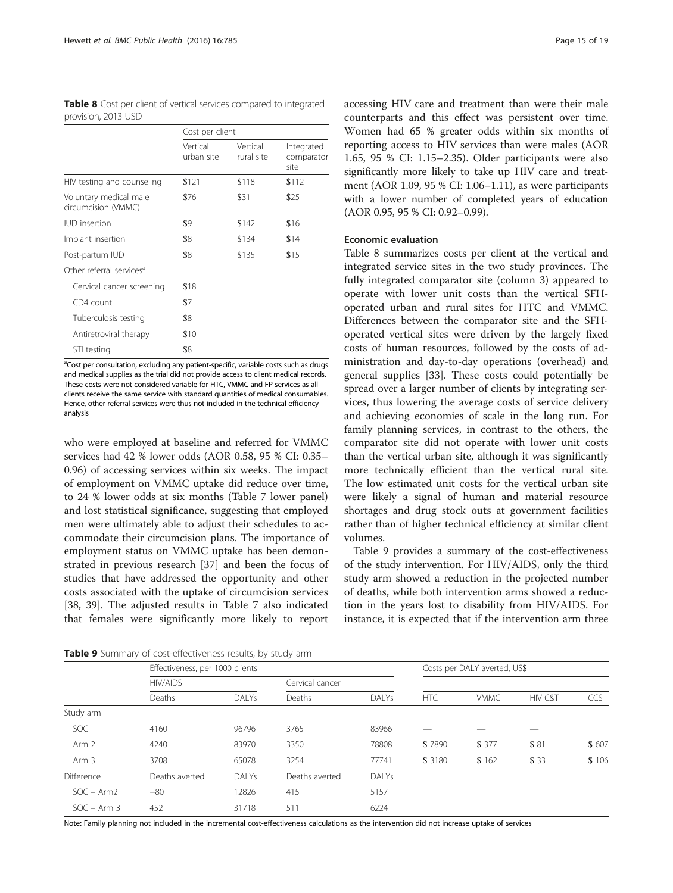|                                               | Cost per client        |                        |                                  |  |  |  |
|-----------------------------------------------|------------------------|------------------------|----------------------------------|--|--|--|
|                                               | Vertical<br>urban site | Vertical<br>rural site | Integrated<br>comparator<br>site |  |  |  |
| HIV testing and counseling                    | \$121                  | \$118                  | \$112                            |  |  |  |
| Voluntary medical male<br>circumcision (VMMC) | \$76                   | \$31                   |                                  |  |  |  |
| IUD insertion                                 | \$9                    | \$142                  | \$16                             |  |  |  |
| Implant insertion                             | \$8                    | \$134                  | \$14                             |  |  |  |
| Post-partum IUD                               | \$8                    | \$135                  | \$15                             |  |  |  |
| Other referral services <sup>a</sup>          |                        |                        |                                  |  |  |  |
| Cervical cancer screening                     | \$18                   |                        |                                  |  |  |  |
| CD4 count                                     | \$7                    |                        |                                  |  |  |  |
| Tuberculosis testing                          | \$8                    |                        |                                  |  |  |  |
| Antiretroviral therapy                        | \$10                   |                        |                                  |  |  |  |
| STI testing                                   | \$8                    |                        |                                  |  |  |  |

Table 8 Cost per client of vertical services compared to integrated provision, 2013 USD

<sup>a</sup>Cost per consultation, excluding any patient-specific, variable costs such as drugs and medical supplies as the trial did not provide access to client medical records. These costs were not considered variable for HTC, VMMC and FP services as all clients receive the same service with standard quantities of medical consumables. Hence, other referral services were thus not included in the technical efficiency analysis

who were employed at baseline and referred for VMMC services had 42 % lower odds (AOR 0.58, 95 % CI: 0.35– 0.96) of accessing services within six weeks. The impact of employment on VMMC uptake did reduce over time, to 24 % lower odds at six months (Table [7](#page-12-0) lower panel) and lost statistical significance, suggesting that employed men were ultimately able to adjust their schedules to accommodate their circumcision plans. The importance of employment status on VMMC uptake has been demonstrated in previous research [[37](#page-18-0)] and been the focus of studies that have addressed the opportunity and other costs associated with the uptake of circumcision services [[38, 39\]](#page-18-0). The adjusted results in Table [7](#page-12-0) also indicated that females were significantly more likely to report

accessing HIV care and treatment than were their male counterparts and this effect was persistent over time. Women had 65 % greater odds within six months of reporting access to HIV services than were males (AOR 1.65, 95 % CI: 1.15–2.35). Older participants were also significantly more likely to take up HIV care and treatment (AOR 1.09, 95 % CI: 1.06–1.11), as were participants with a lower number of completed years of education (AOR 0.95, 95 % CI: 0.92–0.99).

# Economic evaluation

Table 8 summarizes costs per client at the vertical and integrated service sites in the two study provinces. The fully integrated comparator site (column 3) appeared to operate with lower unit costs than the vertical SFHoperated urban and rural sites for HTC and VMMC. Differences between the comparator site and the SFHoperated vertical sites were driven by the largely fixed costs of human resources, followed by the costs of administration and day-to-day operations (overhead) and general supplies [[33\]](#page-17-0). These costs could potentially be spread over a larger number of clients by integrating services, thus lowering the average costs of service delivery and achieving economies of scale in the long run. For family planning services, in contrast to the others, the comparator site did not operate with lower unit costs than the vertical urban site, although it was significantly more technically efficient than the vertical rural site. The low estimated unit costs for the vertical urban site were likely a signal of human and material resource shortages and drug stock outs at government facilities rather than of higher technical efficiency at similar client volumes.

Table 9 provides a summary of the cost-effectiveness of the study intervention. For HIV/AIDS, only the third study arm showed a reduction in the projected number of deaths, while both intervention arms showed a reduction in the years lost to disability from HIV/AIDS. For instance, it is expected that if the intervention arm three

Table 9 Summary of cost-effectiveness results, by study arm

|                   | Effectiveness, per 1000 clients | Costs per DALY averted, US\$ |                 |              |            |             |                    |       |
|-------------------|---------------------------------|------------------------------|-----------------|--------------|------------|-------------|--------------------|-------|
|                   | <b>HIV/AIDS</b>                 |                              | Cervical cancer |              |            |             |                    |       |
|                   | <b>DALYs</b><br>Deaths          |                              | Deaths          | <b>DALYs</b> | <b>HTC</b> | <b>VMMC</b> | <b>HIV C&amp;T</b> | CCS   |
| Study arm         |                                 |                              |                 |              |            |             |                    |       |
| <b>SOC</b>        | 4160                            | 96796                        | 3765            | 83966        |            |             |                    |       |
| Arm 2             | 4240                            | 83970                        | 3350            | 78808        | \$7890     | \$377       | \$81               | \$607 |
| Arm 3             | 3708                            | 65078                        | 3254            | 77741        | \$3180     | \$162       | \$ 33              | \$106 |
| <b>Difference</b> | Deaths averted                  | <b>DALYs</b>                 | Deaths averted  | <b>DALYs</b> |            |             |                    |       |
| $SOC - Arm2$      | $-80$                           | 12826                        | 415             | 5157         |            |             |                    |       |
| $SOC - Arm$ 3     | 452                             | 31718                        | 511             | 6224         |            |             |                    |       |

Note: Family planning not included in the incremental cost-effectiveness calculations as the intervention did not increase uptake of services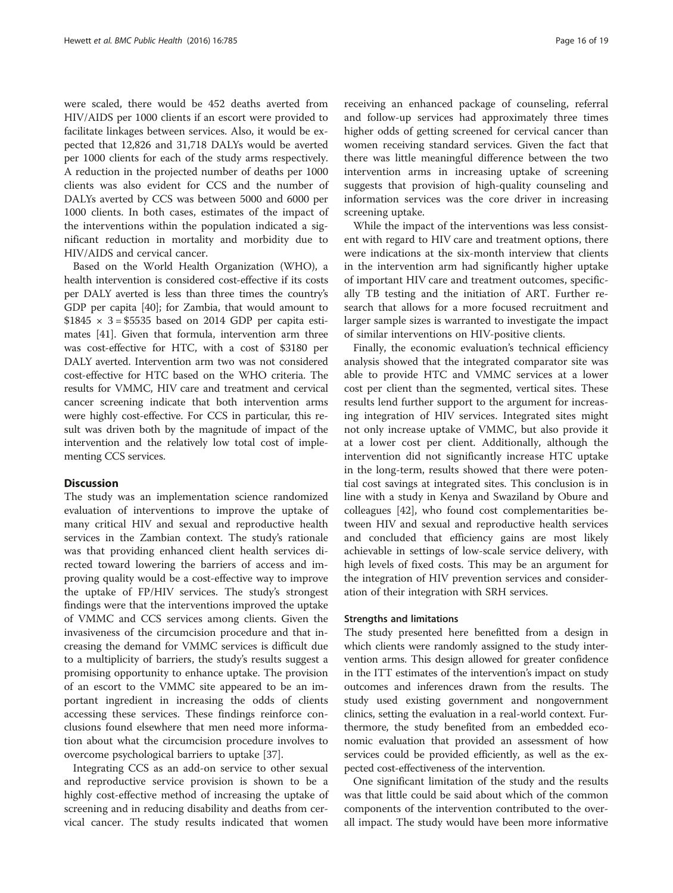were scaled, there would be 452 deaths averted from HIV/AIDS per 1000 clients if an escort were provided to facilitate linkages between services. Also, it would be expected that 12,826 and 31,718 DALYs would be averted per 1000 clients for each of the study arms respectively. A reduction in the projected number of deaths per 1000 clients was also evident for CCS and the number of DALYs averted by CCS was between 5000 and 6000 per 1000 clients. In both cases, estimates of the impact of the interventions within the population indicated a significant reduction in mortality and morbidity due to HIV/AIDS and cervical cancer.

Based on the World Health Organization (WHO), a health intervention is considered cost-effective if its costs per DALY averted is less than three times the country's GDP per capita [\[40\]](#page-18-0); for Zambia, that would amount to  $$1845 \times 3 = $5535$  based on 2014 GDP per capita estimates [\[41\]](#page-18-0). Given that formula, intervention arm three was cost-effective for HTC, with a cost of \$3180 per DALY averted. Intervention arm two was not considered cost-effective for HTC based on the WHO criteria. The results for VMMC, HIV care and treatment and cervical cancer screening indicate that both intervention arms were highly cost-effective. For CCS in particular, this result was driven both by the magnitude of impact of the intervention and the relatively low total cost of implementing CCS services.

# Discussion

The study was an implementation science randomized evaluation of interventions to improve the uptake of many critical HIV and sexual and reproductive health services in the Zambian context. The study's rationale was that providing enhanced client health services directed toward lowering the barriers of access and improving quality would be a cost-effective way to improve the uptake of FP/HIV services. The study's strongest findings were that the interventions improved the uptake of VMMC and CCS services among clients. Given the invasiveness of the circumcision procedure and that increasing the demand for VMMC services is difficult due to a multiplicity of barriers, the study's results suggest a promising opportunity to enhance uptake. The provision of an escort to the VMMC site appeared to be an important ingredient in increasing the odds of clients accessing these services. These findings reinforce conclusions found elsewhere that men need more information about what the circumcision procedure involves to overcome psychological barriers to uptake [[37\]](#page-18-0).

Integrating CCS as an add-on service to other sexual and reproductive service provision is shown to be a highly cost-effective method of increasing the uptake of screening and in reducing disability and deaths from cervical cancer. The study results indicated that women

receiving an enhanced package of counseling, referral and follow-up services had approximately three times higher odds of getting screened for cervical cancer than women receiving standard services. Given the fact that there was little meaningful difference between the two intervention arms in increasing uptake of screening suggests that provision of high-quality counseling and information services was the core driver in increasing screening uptake.

While the impact of the interventions was less consistent with regard to HIV care and treatment options, there were indications at the six-month interview that clients in the intervention arm had significantly higher uptake of important HIV care and treatment outcomes, specifically TB testing and the initiation of ART. Further research that allows for a more focused recruitment and larger sample sizes is warranted to investigate the impact of similar interventions on HIV-positive clients.

Finally, the economic evaluation's technical efficiency analysis showed that the integrated comparator site was able to provide HTC and VMMC services at a lower cost per client than the segmented, vertical sites. These results lend further support to the argument for increasing integration of HIV services. Integrated sites might not only increase uptake of VMMC, but also provide it at a lower cost per client. Additionally, although the intervention did not significantly increase HTC uptake in the long-term, results showed that there were potential cost savings at integrated sites. This conclusion is in line with a study in Kenya and Swaziland by Obure and colleagues [\[42\]](#page-18-0), who found cost complementarities between HIV and sexual and reproductive health services and concluded that efficiency gains are most likely achievable in settings of low-scale service delivery, with high levels of fixed costs. This may be an argument for the integration of HIV prevention services and consideration of their integration with SRH services.

#### Strengths and limitations

The study presented here benefitted from a design in which clients were randomly assigned to the study intervention arms. This design allowed for greater confidence in the ITT estimates of the intervention's impact on study outcomes and inferences drawn from the results. The study used existing government and nongovernment clinics, setting the evaluation in a real-world context. Furthermore, the study benefited from an embedded economic evaluation that provided an assessment of how services could be provided efficiently, as well as the expected cost-effectiveness of the intervention.

One significant limitation of the study and the results was that little could be said about which of the common components of the intervention contributed to the overall impact. The study would have been more informative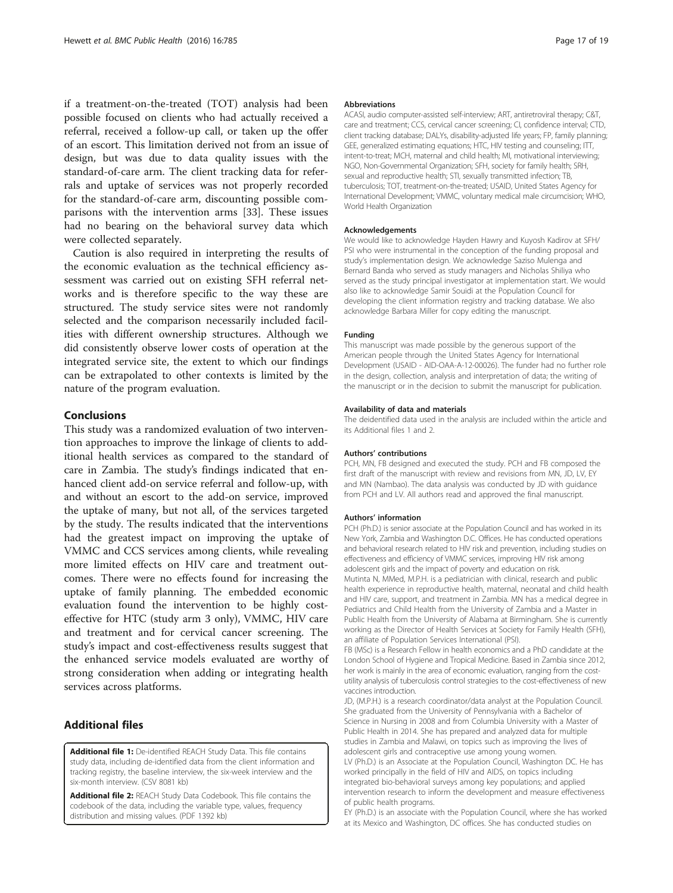if a treatment-on-the-treated (TOT) analysis had been possible focused on clients who had actually received a referral, received a follow-up call, or taken up the offer of an escort. This limitation derived not from an issue of design, but was due to data quality issues with the standard-of-care arm. The client tracking data for referrals and uptake of services was not properly recorded for the standard-of-care arm, discounting possible comparisons with the intervention arms [\[33\]](#page-17-0). These issues had no bearing on the behavioral survey data which were collected separately.

Caution is also required in interpreting the results of the economic evaluation as the technical efficiency assessment was carried out on existing SFH referral networks and is therefore specific to the way these are structured. The study service sites were not randomly selected and the comparison necessarily included facilities with different ownership structures. Although we did consistently observe lower costs of operation at the integrated service site, the extent to which our findings can be extrapolated to other contexts is limited by the nature of the program evaluation.

## Conclusions

This study was a randomized evaluation of two intervention approaches to improve the linkage of clients to additional health services as compared to the standard of care in Zambia. The study's findings indicated that enhanced client add-on service referral and follow-up, with and without an escort to the add-on service, improved the uptake of many, but not all, of the services targeted by the study. The results indicated that the interventions had the greatest impact on improving the uptake of VMMC and CCS services among clients, while revealing more limited effects on HIV care and treatment outcomes. There were no effects found for increasing the uptake of family planning. The embedded economic evaluation found the intervention to be highly costeffective for HTC (study arm 3 only), VMMC, HIV care and treatment and for cervical cancer screening. The study's impact and cost-effectiveness results suggest that the enhanced service models evaluated are worthy of strong consideration when adding or integrating health services across platforms.

# Additional files

[Additional file 1:](dx.doi.org/10.1186/s12889-016-3450-x) De-identified REACH Study Data. This file contains study data, including de-identified data from the client information and tracking registry, the baseline interview, the six-week interview and the six-month interview. (CSV 8081 kb)

[Additional file 2:](dx.doi.org/10.1186/s12889-016-3450-x) REACH Study Data Codebook. This file contains the codebook of the data, including the variable type, values, frequency distribution and missing values. (PDF 1392 kb)

#### Abbreviations

ACASI, audio computer-assisted self-interview; ART, antiretroviral therapy; C&T, care and treatment; CCS, cervical cancer screening; CI, confidence interval; CTD, client tracking database; DALYs, disability-adjusted life years; FP, family planning; GEE, generalized estimating equations; HTC, HIV testing and counseling; ITT, intent-to-treat; MCH, maternal and child health; MI, motivational interviewing; NGO, Non-Governmental Organization; SFH, society for family health; SRH, sexual and reproductive health; STI, sexually transmitted infection; TB, tuberculosis; TOT, treatment-on-the-treated; USAID, United States Agency for International Development; VMMC, voluntary medical male circumcision; WHO, World Health Organization

#### Acknowledgements

We would like to acknowledge Hayden Hawry and Kuyosh Kadirov at SFH/ PSI who were instrumental in the conception of the funding proposal and study's implementation design. We acknowledge Saziso Mulenga and Bernard Banda who served as study managers and Nicholas Shiliya who served as the study principal investigator at implementation start. We would also like to acknowledge Samir Souidi at the Population Council for developing the client information registry and tracking database. We also acknowledge Barbara Miller for copy editing the manuscript.

#### Funding

This manuscript was made possible by the generous support of the American people through the United States Agency for International Development (USAID - AID-OAA-A-12-00026). The funder had no further role in the design, collection, analysis and interpretation of data; the writing of the manuscript or in the decision to submit the manuscript for publication.

#### Availability of data and materials

The deidentified data used in the analysis are included within the article and its Additional files 1 and 2.

#### Authors' contributions

PCH, MN, FB designed and executed the study. PCH and FB composed the first draft of the manuscript with review and revisions from MN, JD, LV, EY and MN (Nambao). The data analysis was conducted by JD with guidance from PCH and LV. All authors read and approved the final manuscript.

#### Authors' information

PCH (Ph.D.) is senior associate at the Population Council and has worked in its New York, Zambia and Washington D.C. Offices. He has conducted operations and behavioral research related to HIV risk and prevention, including studies on effectiveness and efficiency of VMMC services, improving HIV risk among adolescent girls and the impact of poverty and education on risk. Mutinta N, MMed, M.P.H. is a pediatrician with clinical, research and public health experience in reproductive health, maternal, neonatal and child health and HIV care, support, and treatment in Zambia. MN has a medical degree in Pediatrics and Child Health from the University of Zambia and a Master in Public Health from the University of Alabama at Birmingham. She is currently working as the Director of Health Services at Society for Family Health (SFH), an affiliate of Population Services International (PSI).

FB (MSc) is a Research Fellow in health economics and a PhD candidate at the London School of Hygiene and Tropical Medicine. Based in Zambia since 2012, her work is mainly in the area of economic evaluation, ranging from the costutility analysis of tuberculosis control strategies to the cost-effectiveness of new vaccines introduction.

JD, (M.P.H.) is a research coordinator/data analyst at the Population Council. She graduated from the University of Pennsylvania with a Bachelor of Science in Nursing in 2008 and from Columbia University with a Master of Public Health in 2014. She has prepared and analyzed data for multiple studies in Zambia and Malawi, on topics such as improving the lives of adolescent girls and contraceptive use among young women. LV (Ph.D.) is an Associate at the Population Council, Washington DC. He has worked principally in the field of HIV and AIDS, on topics including integrated bio-behavioral surveys among key populations; and applied intervention research to inform the development and measure effectiveness of public health programs.

EY (Ph.D.) is an associate with the Population Council, where she has worked at its Mexico and Washington, DC offices. She has conducted studies on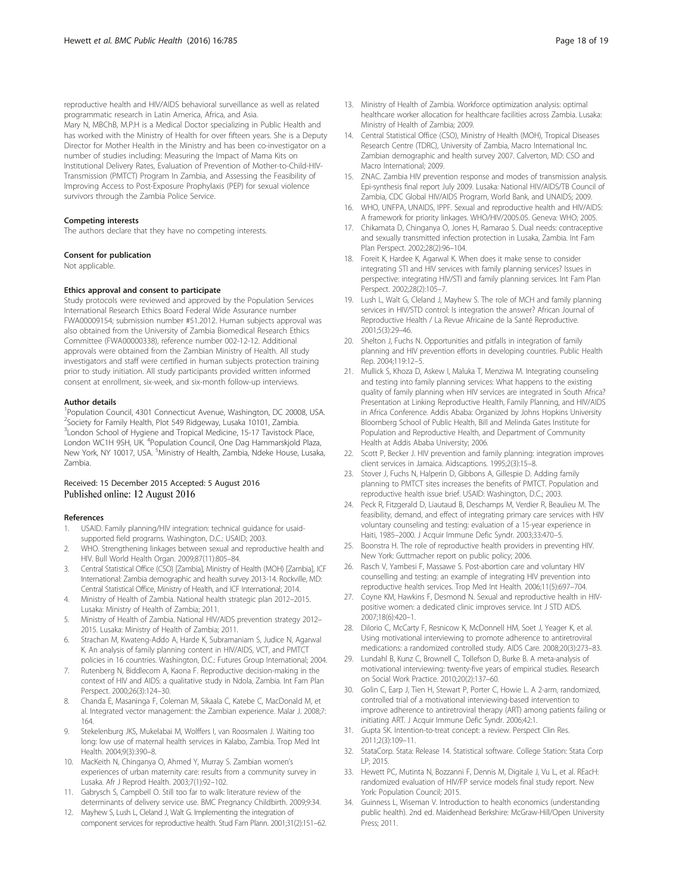<span id="page-17-0"></span>reproductive health and HIV/AIDS behavioral surveillance as well as related programmatic research in Latin America, Africa, and Asia. Mary N, MBChB, M.P.H is a Medical Doctor specializing in Public Health and has worked with the Ministry of Health for over fifteen years. She is a Deputy Director for Mother Health in the Ministry and has been co-investigator on a number of studies including: Measuring the Impact of Mama Kits on Institutional Delivery Rates, Evaluation of Prevention of Mother-to-Child-HIV-Transmission (PMTCT) Program In Zambia, and Assessing the Feasibility of Improving Access to Post-Exposure Prophylaxis (PEP) for sexual violence survivors through the Zambia Police Service.

#### Competing interests

The authors declare that they have no competing interests.

#### Consent for publication

Not applicable.

#### Ethics approval and consent to participate

Study protocols were reviewed and approved by the Population Services International Research Ethics Board Federal Wide Assurance number FWA00009154; submission number #51.2012. Human subjects approval was also obtained from the University of Zambia Biomedical Research Ethics Committee (FWA00000338), reference number 002-12-12. Additional approvals were obtained from the Zambian Ministry of Health. All study investigators and staff were certified in human subjects protection training prior to study initiation. All study participants provided written informed consent at enrollment, six-week, and six-month follow-up interviews.

#### Author details

<sup>1</sup>Population Council, 4301 Connecticut Avenue, Washington, DC 20008, USA. 2 Society for Family Health, Plot 549 Ridgeway, Lusaka 10101, Zambia. <sup>3</sup> London School of Hygiene and Tropical Medicine, 15-17 Tavistock Place, London WC1H 9SH, UK. <sup>4</sup>Population Council, One Dag Hammarskjold Plaza, New York, NY 10017, USA. <sup>5</sup>Ministry of Health, Zambia, Ndeke House, Lusaka, Zambia.

# Received: 15 December 2015 Accepted: 5 August 2016 Published online: 12 August 2016

#### References

- 1. USAID. Family planning/HIV integration: technical guidance for usaidsupported field programs. Washington, D.C.: USAID; 2003.
- 2. WHO. Strengthening linkages between sexual and reproductive health and HIV. Bull World Health Organ. 2009;87(11):805–84.
- 3. Central Statistical Office (CSO) [Zambia], Ministry of Health (MOH) [Zambia], ICF International: Zambia demographic and health survey 2013-14. Rockville, MD: Central Statistical Office, Ministry of Health, and ICF International; 2014.
- 4. Ministry of Health of Zambia. National health strategic plan 2012–2015. Lusaka: Ministry of Health of Zambia; 2011.
- 5. Ministry of Health of Zambia. National HIV/AIDS prevention strategy 2012– 2015. Lusaka: Ministry of Health of Zambia; 2011.
- 6. Strachan M, Kwateng-Addo A, Harde K, Subramaniam S, Judice N, Agarwal K. An analysis of family planning content in HIV/AIDS, VCT, and PMTCT policies in 16 countries. Washington, D.C.: Futures Group International; 2004.
- 7. Rutenberg N, Biddlecom A, Kaona F. Reproductive decision-making in the context of HIV and AIDS: a qualitative study in Ndola, Zambia. Int Fam Plan Perspect. 2000;26(3):124–30.
- 8. Chanda E, Masaninga F, Coleman M, Sikaala C, Katebe C, MacDonald M, et al. Integrated vector management: the Zambian experience. Malar J. 2008;7: 164.
- 9. Stekelenburg JKS, Mukelabai M, Wolffers I, van Roosmalen J. Waiting too long: low use of maternal health services in Kalabo, Zambia. Trop Med Int Health. 2004;9(3):390–8.
- 10. MacKeith N, Chinganya O, Ahmed Y, Murray S. Zambian women's experiences of urban maternity care: results from a community survey in Lusaka. Afr J Reprod Health. 2003;7(1):92–102.
- 11. Gabrysch S, Campbell O. Still too far to walk: literature review of the determinants of delivery service use. BMC Pregnancy Childbirth. 2009;9:34.
- 12. Mayhew S, Lush L, Cleland J, Walt G. Implementing the integration of component services for reproductive health. Stud Fam Plann. 2001;31(2):151–62.
- 13. Ministry of Health of Zambia. Workforce optimization analysis: optimal healthcare worker allocation for healthcare facilities across Zambia. Lusaka: Ministry of Health of Zambia; 2009.
- 14. Central Statistical Office (CSO), Ministry of Health (MOH), Tropical Diseases Research Centre (TDRC), University of Zambia, Macro International Inc. Zambian demographic and health survey 2007. Calverton, MD: CSO and Macro International; 2009.
- 15. ZNAC. Zambia HIV prevention response and modes of transmission analysis. Epi-synthesis final report July 2009. Lusaka: National HIV/AIDS/TB Council of Zambia, CDC Global HIV/AIDS Program, World Bank, and UNAIDS; 2009.
- 16. WHO, UNFPA, UNAIDS, IPPF. Sexual and reproductive health and HIV/AIDS: A framework for priority linkages. WHO/HIV/2005.05. Geneva: WHO; 2005.
- 17. Chikamata D, Chinganya O, Jones H, Ramarao S. Dual needs: contraceptive and sexually transmitted infection protection in Lusaka, Zambia. Int Fam Plan Perspect. 2002;28(2):96–104.
- 18. Foreit K, Hardee K, Agarwal K. When does it make sense to consider integrating STI and HIV services with family planning services? Issues in perspective: integrating HIV/STI and family planning services. Int Fam Plan Perspect. 2002;28(2):105–7.
- 19. Lush L, Walt G, Cleland J, Mayhew S. The role of MCH and family planning services in HIV/STD control: Is integration the answer? African Journal of Reproductive Health / La Revue Africaine de la Santé Reproductive. 2001;5(3):29–46.
- 20. Shelton J, Fuchs N. Opportunities and pitfalls in integration of family planning and HIV prevention efforts in developing countries. Public Health Rep. 2004;119:12–5.
- 21. Mullick S, Khoza D, Askew I, Maluka T, Menziwa M. Integrating counseling and testing into family planning services: What happens to the existing quality of family planning when HIV services are integrated in South Africa? Presentation at Linking Reproductive Health, Family Planning, and HIV/AIDS in Africa Conference. Addis Ababa: Organized by Johns Hopkins University Bloomberg School of Public Health, Bill and Melinda Gates Institute for Population and Reproductive Health, and Department of Community Health at Addis Ababa University; 2006.
- 22. Scott P, Becker J. HIV prevention and family planning: integration improves client services in Jamaica. Aidscaptions. 1995;2(3):15–8.
- 23. Stover J, Fuchs N, Halperin D, Gibbons A, Gillespie D. Adding family planning to PMTCT sites increases the benefits of PMTCT. Population and reproductive health issue brief. USAID: Washington, D.C.; 2003.
- 24. Peck R, Fitzgerald D, Liautaud B, Deschamps M, Verdier R, Beaulieu M. The feasibility, demand, and effect of integrating primary care services with HIV voluntary counseling and testing: evaluation of a 15-year experience in Haiti, 1985–2000. J Acquir Immune Defic Syndr. 2003;33:470–5.
- 25. Boonstra H. The role of reproductive health providers in preventing HIV. New York: Guttmacher report on public policy; 2006.
- 26. Rasch V, Yambesi F, Massawe S. Post-abortion care and voluntary HIV counselling and testing: an example of integrating HIV prevention into reproductive health services. Trop Med Int Health. 2006;11(5):697–704.
- 27. Coyne KM, Hawkins F, Desmond N. Sexual and reproductive health in HIVpositive women: a dedicated clinic improves service. Int J STD AIDS. 2007;18(6):420–1.
- 28. Dilorio C, McCarty F, Resnicow K, McDonnell HM, Soet J, Yeager K, et al. Using motivational interviewing to promote adherence to antiretroviral medications: a randomized controlled study. AIDS Care. 2008;20(3):273–83.
- 29. Lundahl B, Kunz C, Brownell C, Tollefson D, Burke B. A meta-analysis of motivational interviewing: twenty-five years of empirical studies. Research on Social Work Practice. 2010;20(2):137–60.
- 30. Golin C, Earp J, Tien H, Stewart P, Porter C, Howie L. A 2-arm, randomized, controlled trial of a motivational interviewing-based intervention to improve adherence to antiretroviral therapy (ART) among patients failing or initiating ART. J Acquir Immune Defic Syndr. 2006;42:1.
- 31. Gupta SK. Intention-to-treat concept: a review. Perspect Clin Res. 2011;2(3):109–11.
- 32. StataCorp. Stata: Release 14. Statistical software. College Station: Stata Corp LP; 2015.
- 33. Hewett PC, Mutinta N, Bozzanni F, Dennis M, Digitale J, Vu L, et al. REacH: randomized evaluation of HIV/FP service models final study report. New York: Population Council; 2015.
- 34. Guinness L, Wiseman V. Introduction to health economics (understanding public health). 2nd ed. Maidenhead Berkshire: McGraw-Hill/Open University Press; 2011.